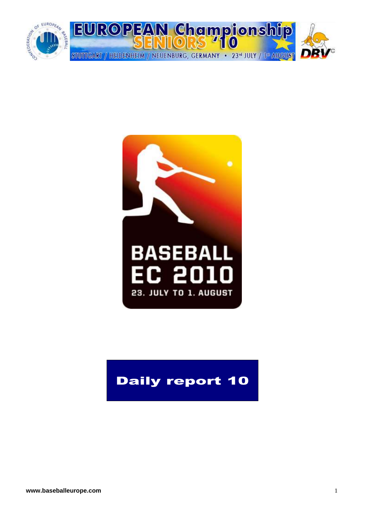



# Daily report 10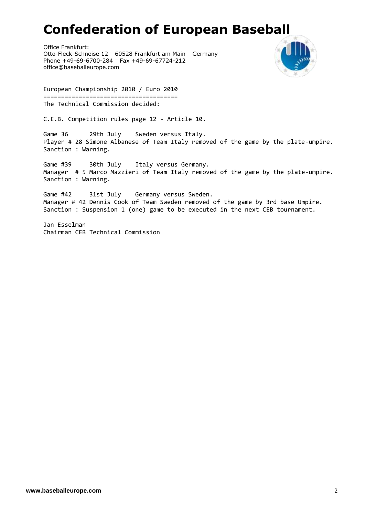# **Confederation of European Baseball**

Office Frankfurt: Otto-Fleck-Schneise 12 … 60528 Frankfurt am Main … Germany Phone +49-69-6700-284 … Fax +49-69-67724-212 office@baseballeurope.com



European Championship 2010 / Euro 2010 ====================================== The Technical Commission decided:

C.E.B. Competition rules page 12 - Article 10.

Game 36 29th July Sweden versus Italy. Player # 28 Simone Albanese of Team Italy removed of the game by the plate-umpire. Sanction : Warning.

Game #39 30th July Italy versus Germany. Manager # 5 Marco Mazzieri of Team Italy removed of the game by the plate-umpire. Sanction : Warning.

Game #42 31st July Germany versus Sweden. Manager # 42 Dennis Cook of Team Sweden removed of the game by 3rd base Umpire. Sanction : Suspension 1 (one) game to be executed in the next CEB tournament.

Jan Esselman Chairman CEB Technical Commission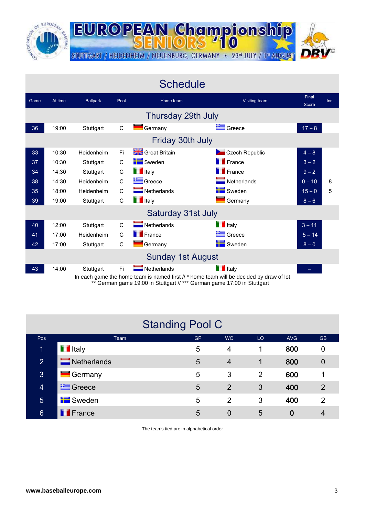

**EUROPEAN Championship** STUTTGART / HEIDENHEIM / NEUENBURG, GERMANY · 23rd JULY / 1st AUGUST

|      |         |                 |              | <b>Schedule</b>            |                                                                                                                                                                                                                            |                |      |
|------|---------|-----------------|--------------|----------------------------|----------------------------------------------------------------------------------------------------------------------------------------------------------------------------------------------------------------------------|----------------|------|
| Game | At time | <b>Ballpark</b> | Pool         | Home team                  | Visiting team                                                                                                                                                                                                              | Final<br>Score | Inn. |
|      |         |                 |              | Thursday 29th July         |                                                                                                                                                                                                                            |                |      |
| 36   | 19:00   | Stuttgart       | C            | Germany                    | Greece                                                                                                                                                                                                                     | $17 - 8$       |      |
|      |         |                 |              | Friday 30th July           |                                                                                                                                                                                                                            |                |      |
| 33   | 10:30   | Heidenheim      | Fi           | <b>Streat Britain</b>      | Czech Republic                                                                                                                                                                                                             | $4 - 8$        |      |
| 37   | 10:30   | Stuttgart       | C            | Sweden                     | <b>F</b> France                                                                                                                                                                                                            | $3 - 2$        |      |
| 34   | 14:30   | Stuttgart       | C            | <b>T</b> Italy             | <b>France</b>                                                                                                                                                                                                              | $9 - 2$        |      |
| 38   | 14:30   | Heidenheim      | $\mathsf{C}$ | Greece                     | Netherlands                                                                                                                                                                                                                | $0 - 10$       | 8    |
| 35   | 18:00   | Heidenheim      | C            | $\blacksquare$ Netherlands | Sweden                                                                                                                                                                                                                     | $15 - 0$       | 5    |
| 39   | 19:00   | Stuttgart       | C            | <b>T</b> Italy             | Germany                                                                                                                                                                                                                    | $8 - 6$        |      |
|      |         |                 |              | Saturday 31st July         |                                                                                                                                                                                                                            |                |      |
| 40   | 12:00   | Stuttgart       | $\mathsf{C}$ | $\blacksquare$ Netherlands | <b>T</b> Italy                                                                                                                                                                                                             | $3 - 11$       |      |
| 41   | 17:00   | Heidenheim      | C            | <b>France</b>              | Greece                                                                                                                                                                                                                     | $5 - 14$       |      |
| 42   | 17:00   | Stuttgart       | C            | Germany                    | Sweden                                                                                                                                                                                                                     | $8 - 0$        |      |
|      |         |                 |              | <b>Sunday 1st August</b>   |                                                                                                                                                                                                                            |                |      |
| 43   | 14:00   | Stuttgart       | Fi           | $\blacksquare$ Netherlands | <b>T</b> Italy<br>In each game the home team is named first // * home team will be decided by draw of lot<br>** Cormon game $10:00$ in $P_{\text{t}}$ theort $\frac{1}{2}$ is cormon game $17:00$ in $P_{\text{t}}$ theort |                |      |

German game 19:00 in Stuttgart // \*\*\* German game 17:00 in Stuttgart

|                 | <b>Standing Pool C</b>     |           |                |                |            |                |
|-----------------|----------------------------|-----------|----------------|----------------|------------|----------------|
| Pos             | Team                       | <b>GP</b> | <b>WO</b>      | LO.            | <b>AVG</b> | <b>GB</b>      |
| 1               | <b>T</b> Italy             | 5         | 4              | 1              | 800        | 0              |
| $\overline{2}$  | $\blacksquare$ Netherlands | 5         | $\overline{4}$ | 1              | 800        | $\overline{0}$ |
| $\mathbf{3}$    | $\blacksquare$ Germany     | 5         | 3              | $\overline{2}$ | 600        |                |
| $\overline{4}$  | <b>E</b> Greece            | 5         | 2              | 3              | 400        | $\overline{2}$ |
| $\overline{5}$  | <b>Sweden</b>              | 5         | $\overline{2}$ | 3              | 400        | $\overline{2}$ |
| $6\phantom{1}6$ | <b>T</b> France            | 5         | 0              | 5              | 0          | 4              |

The teams tied are in alphabetical order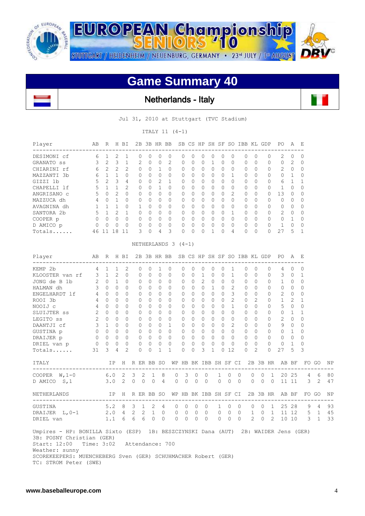

 $\overline{\phantom{a}}$ 

**EUROPEAN Championship** STUTTGART / HEIDENHEIM / NEUENBURG, GERMANY · 23<sup>rd</sup> JULY / 1st AUGUST

# **Game Summary 40**

 $110$ 

Netherlands - Italy

Jul 31, 2010 at Stuttgart (TVC Stadium)

ITALY 11 (4-1)

| Player      | AВ | R              | Н             | ΒI            | 2B             | 3B       |                  | HR BB          | SB.      | CS.      | HP               | SH | SF       | SO.            | IBB       | KL       | GDP      | PO.           | $\mathsf{A}$ | E              |
|-------------|----|----------------|---------------|---------------|----------------|----------|------------------|----------------|----------|----------|------------------|----|----------|----------------|-----------|----------|----------|---------------|--------------|----------------|
| DESIMONI cf | 6  |                | 2             |               | 0              | 0        | $\left( \right)$ | 0              | 0        | $\Omega$ | $\left( \right)$ | O  | $\Omega$ | $\Omega$       | $\Omega$  | $\Omega$ | 0        | 2             | $\Omega$     | $\Omega$       |
| GRANATO SS  | २  | $\mathfrak{L}$ | 3             |               | $\mathfrak{D}$ | $\Omega$ | $\Omega$         | $\overline{2}$ | $\Omega$ | $\Omega$ | $\Omega$         |    | $\Omega$ | $\Omega$       | $\bigcap$ | $\Omega$ | $\Omega$ | $\Omega$      | 2            | $\overline{0}$ |
| CHIARINI rf | 6  | 2              | $\mathcal{L}$ | 2             | $\Omega$       | 0        |                  | $\Omega$       | 0        | $\Omega$ | $\Omega$         | 0  | $\Omega$ | $\Omega$       | $\Omega$  | $\Omega$ | 0        | 2             | $\Omega$     | $\Omega$       |
| MAZZANTI 3b | ี  |                |               |               | $\Omega$       | $\Omega$ | $\Omega$         | $\Omega$       | 0        | $\Omega$ | $\Omega$         | 0  | $\Omega$ |                | $\bigcap$ | $\Omega$ | 0        | $\Omega$      | 1            | $\Omega$       |
| GIZZI 1b    | 5  | 2              | 3             | 4             | $\Omega$       | 0        | 2                |                | O        | $\Omega$ | $\Omega$         | 0  | $\Omega$ | $\Omega$       | $\bigcap$ | $\Omega$ | 0        | 6             |              |                |
| CHAPELLI lf | 5  |                |               | $\mathcal{P}$ | $\Omega$       | O        |                  | $\Omega$       | 0        | $\Omega$ | $\Omega$         | 0  | $\Omega$ | $\Omega$       | $\Omega$  | $\Omega$ | $\Omega$ |               | $\Omega$     | $\Omega$       |
| ANGRISANO C | 5  | $\Omega$       | 2             |               | $\Omega$       | 0        | $\Omega$         | $\Omega$       | 0        | $\Omega$ | $\Omega$         | 0  | $\Omega$ | $\overline{2}$ | $\Omega$  | $\Omega$ | 0        | 13            | $\Omega$     | $\Omega$       |
| MAZZUCA dh  | 4  | $\bigcap$      |               |               | $\Omega$       | $\Omega$ | $\Omega$         | $\Omega$       | $\Omega$ | $\Omega$ | $\cap$           | 0  | $\Omega$ | $\Omega$       | $\bigcap$ | $\Omega$ | $\Omega$ | $\Omega$      | $\Omega$     | $\Omega$       |
| AVAGNINA dh |    |                |               |               |                | 0        | $\Omega$         | $\Omega$       | 0        | 0        | $\Omega$         | 0  | $\Omega$ | $\Omega$       | $\Omega$  | $\Omega$ | 0        | $\Omega$      | $\Omega$     | $\Omega$       |
| SANTORA 2b  | 5  |                | $\mathcal{P}$ |               | $\Omega$       | U        | $\cap$           | $\Omega$       | 0        | 0        | $\cap$           | 0  | 0        | 1              | $\cap$    | $\Omega$ | $\Omega$ | $\mathcal{L}$ | $\Omega$     | $\Omega$       |
| COOPER p    |    | $\Omega$       | 0             |               | $\Omega$       | O        | $\Omega$         | $\Omega$       | 0        | 0        | $\Omega$         | 0  | $\Omega$ | $\Omega$       | $\Omega$  | $\Omega$ | 0        | $\Omega$      |              | $\Omega$       |
| D AMICO p   |    | $\bigcap$      | $\cap$        |               | <sup>n</sup>   | U        | $\cap$           | $\Omega$       | 0        | $\Omega$ | $\cap$           | 0  | $\cap$   | $\bigcap$      | $\cap$    | $\Omega$ | 0        |               | $\Omega$     | $\Omega$       |
| Totals      | 46 |                | 8             |               | 3              | 0        | 4                | 3              | 0        | 0        |                  |    | O        | 4              |           | $\Omega$ | 0        | 27            | 5            |                |

### NETHERLANDS 3 (4-1)

| Player                                                                                                                                                                       | AB             | R H BI      |             |                |          |              |                                   |              | 2B 3B HR BB SB CS HP SH SF SO IBB KL GDP |                                                        |             |                |                |                      |                            |                |             |                    |                     | PO A E                                               |                |                                |                |                |
|------------------------------------------------------------------------------------------------------------------------------------------------------------------------------|----------------|-------------|-------------|----------------|----------|--------------|-----------------------------------|--------------|------------------------------------------|--------------------------------------------------------|-------------|----------------|----------------|----------------------|----------------------------|----------------|-------------|--------------------|---------------------|------------------------------------------------------|----------------|--------------------------------|----------------|----------------|
| KEMP 2b                                                                                                                                                                      |                | $4 \quad 1$ |             | $1\quad 2$     |          | $\mathbf{0}$ | $\Omega$                          | $\mathbf{1}$ | $\mathbf{0}$                             | 0                                                      | $\Omega$    | $\circ$        | $\Omega$       | $\Omega$             | $\mathbf{1}$               |                | $\Omega$    | $\Omega$           | $\mathbf{0}$        | 4                                                    | $\Omega$       | $\Omega$                       |                |                |
| KLOOSTER van rf 3 1 2 0                                                                                                                                                      |                |             |             |                |          | $\circ$      | $\Omega$                          | $\Omega$     | $\Omega$                                 | $\Omega$                                               | $\Omega$    | $\mathbf{1}$   | $\Omega$       | $\bigcap$            | $\mathbf{1}$               |                | $0\quad 0$  |                    | $\Omega$            | $3 \quad 0$                                          |                | 1                              |                |                |
| 1b $\begin{array}{ccc} 2 & 0 & 1 \\ 3 & 0 & 0 \end{array}$<br>JONG de B 1b                                                                                                   |                |             |             | $\overline{0}$ |          | $\Omega$     | $\Omega$                          | $0 \quad 0$  |                                          | $\Omega$                                               | $\Omega$    | 2              | $\Omega$       | $\bigcirc$           | $\Omega$                   |                | $0 \quad 0$ |                    | $\Omega$            | $\mathbf{1}$                                         | $\Omega$       | $\Omega$                       |                |                |
| HALMAN dh                                                                                                                                                                    |                |             |             | $\Omega$       |          | $\Omega$     | $\Omega$                          | $0 \quad 0$  |                                          | 0                                                      | $\Omega$    | $\Omega$       |                | $1 \quad 0$          | 2                          |                | $0\quad 0$  |                    | $\Omega$            | $\Omega$                                             | $\circ$        | $\Omega$                       |                |                |
| ENGELHARDT 1f 4                                                                                                                                                              |                | $\Omega$    | $\Omega$    |                | $\Omega$ | $\Omega$     | $\Omega$                          | $\Omega$     | $\Omega$                                 | $\Omega$                                               | $\cap$      | $\Omega$       |                | $\Omega$<br>$\Omega$ | 3                          |                | $\Omega$    | $\Omega$           | $\Omega$            | $2^{\circ}$                                          | $\Omega$       | $\Omega$                       |                |                |
| ROOI 3b                                                                                                                                                                      |                | 4 0 0       |             | $\Omega$       |          | $\Omega$     | $\Omega$                          | $0 \quad 0$  |                                          | $\Omega$                                               | $\Omega$    | $\Omega$       |                | $\Omega$             | $\overline{2}$<br>$\Omega$ |                | $\Omega$    | $\overline{2}$     | $\Omega$            | $1 \quad 2$                                          |                | $\mathbf{1}$                   |                |                |
| NOOIJ c                                                                                                                                                                      |                | 4 0 0       |             | $\Omega$       |          | $\Omega$     | $\Omega$                          | $\Omega$     | $\Omega$                                 | 0                                                      | $\Omega$    | $\Omega$       | $\Omega$       | $\Omega$             | 1                          |                | $\Omega$    | $\Omega$           | $\Omega$            | $5 \quad 0$                                          |                | $\Omega$                       |                |                |
| SLUIJTER ss                                                                                                                                                                  |                | $2 \quad 0$ | $\Omega$    | $\Omega$       |          | $\mathbf{0}$ | $\circ$                           |              | $0\quad 0$                               | 0                                                      | $\Omega$    | $\circ$        |                | $\Omega$<br>$\Omega$ | $\Omega$                   |                | $\circ$     | $\bigcirc$         | $\circ$             | $0\quad 1$                                           |                | $\mathbf{1}$                   |                |                |
| LEGITO SS                                                                                                                                                                    | $\overline{2}$ | $\Omega$    | $\Omega$    | $\Omega$       |          | $\Omega$     | $\Omega$                          | $\Omega$     | $\Omega$                                 | 0                                                      | $\cap$      | $\Omega$       | $\Omega$       | $\Omega$             | $\Omega$                   |                | $\bigcap$   | $\Omega$           | $\Omega$            | 2                                                    | $\circ$        | $\Omega$                       |                |                |
| DAANTJI cf 3 1                                                                                                                                                               |                |             | $\Omega$    | $\Omega$       |          | $\Omega$     | $\Omega$                          | $0 \quad 1$  |                                          | $\Omega$                                               | $\Omega$    | $\Omega$       | $\Omega$       | $\Omega$             | $\overline{2}$             |                | $\Omega$    | $\Omega$           | $\Omega$            | 9 0                                                  |                | $\Omega$                       |                |                |
|                                                                                                                                                                              |                |             |             |                |          |              |                                   |              |                                          | $\Omega$                                               | $\cap$      | $\Omega$       | $\Omega$       | $\bigcap$            | $\bigcap$                  |                | $\Omega$    | $\bigcap$          | $\Omega$            | $\bigcap$                                            | $\overline{1}$ | $\Omega$                       |                |                |
|                                                                                                                                                                              |                |             |             |                |          |              |                                   |              |                                          | $\circ$                                                | $\Omega$ 0  |                |                |                      | $0 \quad 0 \quad 0$        |                | $0\quad 0$  |                    | $\Omega$            | $0 \quad 0$                                          |                | $\Omega$                       |                |                |
| GUSTINA P 0 0 0 0 0 0 0 0<br>DRAIJER P 0 0 0 0 0 0 0 0<br>DRIEL van p 0 0 0 0 0 0 0 0                                                                                        |                |             |             |                |          |              |                                   |              |                                          | $\circ$                                                | $0\qquad 0$ |                | $\Omega$       | $\Omega$             | $\bigcap$                  |                | $0 \quad 0$ |                    | $\cap$              | $0\quad 1$                                           |                | $\Omega$                       |                |                |
| Totals                                                                                                                                                                       | 31             |             | $3 \quad 4$ | 2              |          | $\Omega$     | $\Omega$                          | 1            | $\mathbf{1}$                             | $\Omega$                                               | $\Omega$    | 3              | $\mathbf{1}$   |                      | $0\;12$                    |                | $0\quad 2$  |                    | $\Omega$            | 27                                                   | $\overline{5}$ | 3                              |                |                |
| ITALY                                                                                                                                                                        |                |             |             |                |          |              |                                   |              |                                          |                                                        |             |                |                |                      |                            |                |             |                    |                     | IP H R ER BB SO WP HB BK IBB SH SF CI 2B 3B HR AB BF |                |                                | FO GO          | N <sub>F</sub> |
| COOPER W, 1-0 6.0 2 3 2 1 8                                                                                                                                                  |                |             |             |                |          |              |                                   |              | $\circ$                                  | 3                                                      | $\circ$     | $\overline{0}$ |                | $\mathbf{1}$         | $\overline{0}$             | $\overline{0}$ |             | $\circ$<br>$\circ$ |                     |                                                      |                | 1 20 25 4 6                    |                | 80             |
| D AMICO S, 1 3.0 2 0 0 0 4                                                                                                                                                   |                |             |             |                |          |              |                                   |              |                                          | $\begin{array}{ccccccccc}\n0 & 0 & 0 & 0\n\end{array}$ |             |                |                |                      | $0 \quad 0 \quad 0$        |                |             | $\Omega$           |                     |                                                      |                | $0 \t 0 \t 11 \t 11 \t 3 \t 2$ |                | 47             |
| NETHERLANDS IP H R ER BB SO WP HB BK IBB SH SF CI 2B 3B HR AB BF                                                                                                             |                |             |             |                |          |              |                                   |              |                                          |                                                        |             |                |                |                      |                            |                |             |                    |                     |                                                      |                |                                | FO GO          | NP             |
| GUSTINA 5.2 8 3 1 2 4 0 0                                                                                                                                                    |                |             |             |                |          |              |                                   |              |                                          |                                                        |             | $0\quad 0$     |                |                      | $1 \quad 0 \quad 0$        |                |             |                    |                     |                                                      |                | 0 0 1 25 28 9 4                |                | 93             |
| DRAIJER L, 0-1 2.0 4 2 2 1 0 0 0                                                                                                                                             |                |             |             |                |          |              |                                   |              |                                          |                                                        |             |                |                |                      |                            |                |             |                    |                     |                                                      |                | 0 0 0 0 0 1 0 1 11 12 5 1      |                | 45             |
| DRIEL van                                                                                                                                                                    |                |             |             |                |          |              | $1.1\quad 6\quad 6\quad 0\quad 0$ |              |                                          | $0 \quad 0$                                            | $\Omega$    |                | $\overline{0}$ |                      | $0 \quad 0 \quad 0$        |                |             |                    | $2 \quad 0 \quad 2$ |                                                      |                | 10103                          | $\overline{1}$ | 33             |
| Umpires - HP: BONILLA Sixto (ESP) 1B: BESZCZYNSKI Dana (AUT) 2B: WAIDER Jens (GER)<br>3B: POSNY Christian (GER)<br>Start: 12:00 Time: 3:02 Attendance: 700<br>Weather: sunny |                |             |             |                |          |              |                                   |              |                                          |                                                        |             |                |                |                      |                            |                |             |                    |                     |                                                      |                |                                |                |                |
| SCOREKEEPERS: MUENCHEBERG Sven (GER) SCHUHMACHER Robert (GER)                                                                                                                |                |             |             |                |          |              |                                   |              |                                          |                                                        |             |                |                |                      |                            |                |             |                    |                     |                                                      |                |                                |                |                |

TC: STROM Peter (SWE)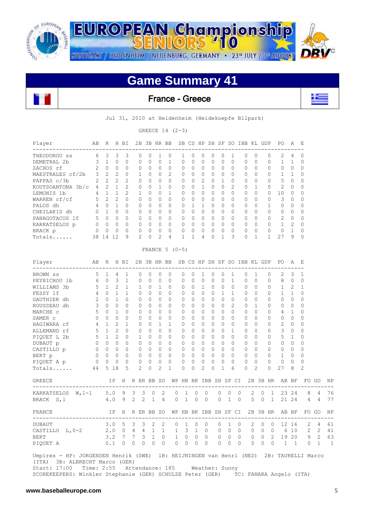

**EUROPEAN Championship** STUTTGART / HEIDENHEIM / NEUENBURG, GERMANY · 23<sup>rd</sup> JULY / 1st AUGUST

# **Game Summary 41**

### France - Greece



Jul 31, 2010 at Heidenheim (Heidekoepfe Bllpark)

GREECE 14 (2-3)

| Player<br>-------------------                                                                                                               | AВ           | R              |                | H BI           |              |              |              | 2B 3B HR BB     |                       |   |              |          |   |                | SB CS HP SH SF SO IBB KL GDP |          |   |          | PО                                               | Α            | Е            |       |    |
|---------------------------------------------------------------------------------------------------------------------------------------------|--------------|----------------|----------------|----------------|--------------|--------------|--------------|-----------------|-----------------------|---|--------------|----------|---|----------------|------------------------------|----------|---|----------|--------------------------------------------------|--------------|--------------|-------|----|
| THEODOROU SS                                                                                                                                | 6            | 3              | 3              | 3              | 0            | 0            | 1            | 0               | 1                     | 0 | 0            | 0        | 0 | 1              | 0                            | 0        |   | 0        | 2                                                | 4            | 0            |       |    |
| DEMETRAL 2b                                                                                                                                 | 3            | $\mathbf{1}$   | 0              | 0              | 0            | $\mathbf{0}$ | 0            | 1               | 0                     | 0 | 0            | 0        | 0 | 0              | 0                            | 0        |   | 0        | 1                                                | 1            | 0            |       |    |
| ZACHOS rf                                                                                                                                   | 2            | $\circ$        | 0              | 0              | 0            | 0            | 0            | 0               | 0                     | 0 | 0            | 0        | 0 | 0              | 0                            | 0        |   | 0        | 0                                                | 0            | 0            |       |    |
| MAESTRALES cf/2b                                                                                                                            | 3            | $\overline{c}$ | 2              | 0              | 1            | $\Omega$     | 0            | 2               | 0                     | 0 | 0            | 0        | 0 | 0              | 0                            | $\Omega$ |   | $\Omega$ | 1                                                | 1            | $\Omega$     |       |    |
| PAPPAS c/3b                                                                                                                                 | 2            | $\overline{2}$ | $\overline{2}$ | 2              | 0            | 0            | 0            | $\Omega$        | 0                     | 0 | 2            | 0        | 1 | 0              | 0                            | $\Omega$ |   | 0        | 5                                                | 0            | 0            |       |    |
| KOUTSOANTONA 3b/c                                                                                                                           | 4            | $\overline{2}$ | $\mathbf{1}$   | $\overline{2}$ | 0            | 0            | $\mathbf{1}$ | 0               | 0                     | 0 | $\mathbf{1}$ | 0        | 0 | $\overline{2}$ | 0                            | 1        |   | $\Omega$ | 2                                                | 0            | $\Omega$     |       |    |
| LEMONIS 1b                                                                                                                                  | 4            | $\mathbf{1}$   | 1              | 2              | 1            | $\Omega$     | 0            | 1               | 0                     | 0 | 0            | 0        | 0 | 0              | 0                            | $\Omega$ |   | 0        | 10                                               | 0            | 0            |       |    |
| WARREN rf/cf                                                                                                                                | 5            | 2              | 2              | 0              | 0            | 0            | 0            | $\Omega$        | 0                     | 0 | 0            | 0        | 0 | 0              | 0                            | $\Omega$ |   | 0        | 3                                                | 0            | 0            |       |    |
| PALOS dh                                                                                                                                    | 4            | $\circ$        | $\mathbf{1}$   | 0              | 0            | 0            | 0            | $\Omega$        | 0                     | 1 | 1            | 0        | 0 | 0              | 0                            | $\Omega$ |   | 1        | 0                                                | 0            | $\Omega$     |       |    |
| CHEILAKIS dh                                                                                                                                | $\mathbf{0}$ | 1              | 0              | 0              | 0            | 0            | 0            | 0               | 0                     | 0 | 0            | $\Omega$ | 0 | 0              | 0                            | $\Omega$ |   | 0        | 0                                                | 0            | 0            |       |    |
| PANAGOTACOS 1f                                                                                                                              | 5            | $\overline{0}$ | 0              | 0              | 0            | 0            | 0            | 0               | 0                     | 0 | 0            | 0        | 0 | 0              | 0                            | 0        |   | 0        | 2                                                | $\mathbf 0$  | 0            |       |    |
| KARKATSELOS p                                                                                                                               | 0            | $\mathbf{0}$   | 0              | 0              | 0            | 0            | 0            | 0               | 0                     | 0 | 0            | 0        | 0 | 0              | 0                            | 0        |   | 0        | 1                                                | 2            | 0            |       |    |
| BRACK p                                                                                                                                     | 0            | 0              | 0              | 0              | 0            | 0            | 0            | 0               | 0                     | 0 | 0            | 0        | 0 | 0              | 0                            | 0        |   | 0        | 0                                                | 1            | 0            |       |    |
| Totals                                                                                                                                      | 38 14        |                | 12             | 9              | 2            | 0            | 2            | 4               | 1                     | 1 | 4            | 0        | 1 | 3              | 0                            | 1        |   | 1        | 27                                               | 9            | 0            |       |    |
|                                                                                                                                             |              |                |                |                |              |              |              | FRANCE $5(0-5)$ |                       |   |              |          |   |                |                              |          |   |          |                                                  |              |              |       |    |
| Player                                                                                                                                      | AВ           | R              |                | H BI           |              |              |              | 2B 3B HR BB     |                       |   |              |          |   |                | SB CS HP SH SF SO IBB KL GDP |          |   |          | PO.                                              | Α            | Е            |       |    |
| ---------------------<br>BROWN SS                                                                                                           | 5            | 1              | 4              | 1              | 0            | 0            | 0            | 0               | 0                     | 0 | 1            | 0        | 0 | 1              | 0                            | 1        |   | 0        | 2                                                | 3            | 1            |       |    |
| PEYRICHOU 1b                                                                                                                                | 6            | $\circ$        | 3              | 1              | 0            | 0            | 0            | 0               | 0                     | 0 | 0            | 0        | 0 | 1              | 0                            | 0        |   | 0        | 8                                                | 0            | 0            |       |    |
| WILLIAMS 3b                                                                                                                                 | 5            | $\mathbf{1}$   | 2              | 1              | $\mathbf{1}$ | 0            | 1            | 0               | 0                     | 0 | 1            | 0        | 0 | 0              | 0                            | $\Omega$ |   | 0        | 1                                                | 2            | $\mathbf{1}$ |       |    |
| FESSY 1f                                                                                                                                    | 4            | $\circ$        | 1              | 1              | 0            | 0            | 0            | 0               | 0                     | 0 | 0            | 0        | 1 | 1              | 0                            | $\Omega$ |   | 0        | 1                                                | 1            | 0            |       |    |
| GAUTHIER dh                                                                                                                                 | 2            | $\Omega$       | $\mathbf{1}$   | 0              | 0            | $\Omega$     | 0            | $\Omega$        | 0                     | 0 | 0            | 0        | 0 | 0              | 0                            | $\Omega$ |   | 0        | 0                                                | 0            | 0            |       |    |
| ROUSSEAU dh                                                                                                                                 | 3            | $\mathbf{0}$   | 0              | 0              | 0            | 0            | 0            | $\Omega$        | 0                     | 0 | 0            | 0        | 0 | 2              | 0                            | 1        |   | 0        | 0                                                | 0            | 0            |       |    |
| MARCHE C                                                                                                                                    | 5            | $\Omega$       | $\mathbf{1}$   | 0              | 0            | 0            | 0            | 0               | 0                     | 0 | 0            | $\Omega$ | 0 | 0              | 0                            | 0        |   | 0        | 4                                                | $\mathbf{1}$ | 0            |       |    |
| SAMER C                                                                                                                                     | 0            | $\Omega$       | $\Omega$       | 0              | 0            | $\Omega$     | 0            | 0               | 0                     | 0 | 0            | 0        | 0 | 0              | 0                            | $\Omega$ |   | 0        | 0                                                | 0            | 0            |       |    |
| HAGIWARA cf                                                                                                                                 | 4            | 1              | 2              | 1              | 0            | 0            | 1            | 1               | 0                     | 0 | 0            | 0        | 0 | 0              | 0                            | $\Omega$ |   | 0        | 2                                                | 0            | $\Omega$     |       |    |
| ALLEMAND rf                                                                                                                                 | 5            | $\mathbf{1}$   | $\overline{2}$ | 0              | 0            | 0            | 0            | $\Omega$        | 0                     | 0 | 0            | 0        | 0 | 1              | 0                            | $\Omega$ |   | 0        | 3                                                | 0            | $\Omega$     |       |    |
| PIQUET L 2b                                                                                                                                 | 5            | $\mathbf{1}$   | 2              | 0              | $\mathbf{1}$ | 0            | 0            | 0               | 0                     | 0 | 0            | 0        | 0 | 0              | 0                            | $\Omega$ |   | 0        | 5                                                | 1            | 0            |       |    |
| DUBAUT p                                                                                                                                    | 0            | $\overline{0}$ | 0              | 0              | 0            | 0            | 0            | 0               | 0                     | 0 | 0            | 0        | 0 | 0              | 0                            | 0        |   | 0        | 0                                                | 0            | 0            |       |    |
| CASTILLO p                                                                                                                                  | $\mathbf{0}$ | $\overline{0}$ | 0              | 0              | 0            | 0            | 0            | 0               | 0                     | 0 | 0            | 0        | 0 | 0              | 0                            | 0        |   | 0        | 0                                                | 0            | 0            |       |    |
| BERT p                                                                                                                                      | $\mathbf 0$  | $\mathbf{0}$   | 0              | 0              | 0            | 0            | 0            | 0               | 0                     | 0 | 0            | 0        | 0 | 0              | 0                            | 0        |   | 0        | 1                                                | 0            | 0            |       |    |
| PIQUET A p                                                                                                                                  | 0            | 0              | 0              | 0              | 0            | 0            | 0            | 0               | 0                     | 0 | 0            | 0        | 0 | 0              | 0                            | $\Omega$ |   | 0        | 0                                                | 0            | 0            |       |    |
| Totals                                                                                                                                      | 44           | 5              | 18             | 5              | 2            | 0            | 2            | 1               | 0                     | 0 | 2            | 0        | 1 | 6              | 0                            | 2        |   | 0        | 27                                               | 8            | 2            |       |    |
| <b>GREECE</b>                                                                                                                               |              |                | IP             | H              | R ER BB SO   |              |              |                 | WP HB BK IBB SH SF CI |   |              |          |   |                |                              |          |   | 2B 3B HR |                                                  | AB BF        |              | FO GO | ΝF |
| KARKATSELOS $W, 1-1$                                                                                                                        |              | 5.0            |                | 9              | 3            | 3            | 0            | 2               | 0                     | 1 | 0            | 0        | 0 | 0              | 0                            | 2        | 0 | 1        | 23                                               | 24           | 8            | 4     | 76 |
| BRACK S, 1                                                                                                                                  |              | 4.0            |                | 9              | 2            | 2            | 1            | 4               | 0                     | 1 | 0            | 0        | 0 | 1              | 0                            | 0        | 0 | 1        |                                                  | 21 24        | 4            | 4     | 77 |
| FRANCE                                                                                                                                      |              |                | ΙP             | Η              | R ER BB SO   |              |              |                 | WP HB BK IBB SH SF CI |   |              |          |   |                |                              |          |   | 2B 3B HR |                                                  | AB BF        |              | FO GO | ΝF |
| DUBAUT 3.0 5 3 3 2 2 0 1 0 0 0 1 0 2 0 0 12 16 2 4 61                                                                                       |              |                |                |                |              |              |              |                 |                       |   |              |          |   |                |                              |          |   |          |                                                  |              |              |       |    |
| CASTILLO L, 0-2                                                                                                                             |              |                |                |                |              |              |              |                 |                       |   |              |          |   |                |                              |          |   |          | 2.0 0 4 4 1 1 1 3 1 0 0 0 0 0 0 0 6 10 2 2 41    |              |              |       |    |
| <b>BERT</b>                                                                                                                                 |              |                |                |                |              |              |              |                 |                       |   |              |          |   |                |                              |          |   |          | 3.2 7 7 3 1 0 1 0 0 0 0 0 0 0 0 0 2 19 20 9 2 63 |              |              |       |    |
| PIQUET A                                                                                                                                    |              |                |                |                |              |              |              |                 |                       |   |              |          |   |                |                              |          |   |          | 0.1 0 0 0 0 0 0 0 0 0 0 0 0 0 0 0 1 1 0 1 1      |              |              |       |    |
| Umpires - HP: JORGENSEN Henrik (SWE) 1B: HEIJNINGEN van Henri (NED) 2B: TAURELLI Marco<br>(ITA) 3B: ALBRECHT Marco (GER)                    |              |                |                |                |              |              |              |                 |                       |   |              |          |   |                |                              |          |   |          |                                                  |              |              |       |    |
| Start: 17:00 Time: 2:55 Attendance: 185 Weather: Sunny<br>SCOREKEEPERS: Winkler Stephanie (GER) SCHULZE Peter (GER) TC: FANARA Angelo (ITA) |              |                |                |                |              |              |              |                 |                       |   |              |          |   |                |                              |          |   |          |                                                  |              |              |       |    |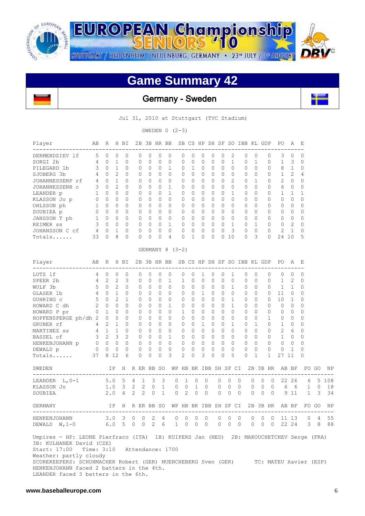

**EUROPEAN Championship** STUTTGART / HEIDENHEIM / NEUENBURG, GERMANY · 23<sup>rd</sup> JULY / 1st AUGUST

# **Game Summary 42**

 $710$ 

Germany - Sweden

Jul 31, 2010 at Stuttgart (TVC Stadium)

SWEDEN  $0$   $(2-3)$ 

| Player<br>------------------                                                                                                                                                                                                                                                                                 | AВ                      |                | R H BI       |          |              |                  |                          |              | 2B 3B HR BB SB CS HP SH SF SO IBB KL GDP                                                                       |   |              |              |              |              |              |                |              |          |   |                | PO.          | A                        | – E                |       |       |
|--------------------------------------------------------------------------------------------------------------------------------------------------------------------------------------------------------------------------------------------------------------------------------------------------------------|-------------------------|----------------|--------------|----------|--------------|------------------|--------------------------|--------------|----------------------------------------------------------------------------------------------------------------|---|--------------|--------------|--------------|--------------|--------------|----------------|--------------|----------|---|----------------|--------------|--------------------------|--------------------|-------|-------|
| DERMENDZIEV lf                                                                                                                                                                                                                                                                                               | $5^{\circ}$             | $\overline{0}$ | 0            | 0        | 0            |                  | 0                        | 0            | 0                                                                                                              | 0 | 0            | 0            | 0            | 0            | 2            |                | 0            | 0        |   | 0              | 3            | 0                        | 0                  |       |       |
| SORGI 2b                                                                                                                                                                                                                                                                                                     | 4                       | $\overline{0}$ | 1            | 0        | 0            |                  | 0                        | 0            | 0                                                                                                              | 0 | 0            | 0            | 0            | 0            | 1            |                | 0            | 1        |   | 0              | 1            | - 3                      | 0                  |       |       |
| PILEGARD 1b                                                                                                                                                                                                                                                                                                  | $\overline{\mathbf{3}}$ | $\overline{0}$ | $\mathbf{1}$ | 0        | 0            |                  | 0                        | 0            | 1                                                                                                              | 0 | 1            | 0            | 0            | 0            | 0            |                | 0            | $\circ$  |   | 0              | 8            | $\mathbf{1}$             | 0                  |       |       |
| SJOBERG 3b                                                                                                                                                                                                                                                                                                   | 4                       | $\mathbf{0}$   | 2            | $\Omega$ | 0            |                  | $\Omega$                 | 0            | 0                                                                                                              | 0 | $\mathbf{0}$ | 0            | $\Omega$     | 0            | 0            |                | 0            | 0        |   | 0              | $\mathbf{1}$ | 2                        | 4                  |       |       |
| JOHANNESSENP rf                                                                                                                                                                                                                                                                                              | 4                       | $\Omega$       | $\mathbf{1}$ | $\Omega$ | $\Omega$     |                  | $\Omega$                 | $\Omega$     | 0                                                                                                              | 0 | $\Omega$     | $\Omega$     | 0            | 0            | 2            |                | 0            | 1        |   | $\Omega$       | 2            | 0                        | $\mathbf{0}$       |       |       |
| JOHANNESSENB C                                                                                                                                                                                                                                                                                               | 3                       | $\overline{0}$ | 2            | $\Omega$ | 0            |                  | 0                        | 0            | 1                                                                                                              | 0 | $\mathbf{0}$ | 0            | 0            | 0            | 0            |                | 0            | $\Omega$ |   | 0              | 6            | $\overline{0}$           | 0                  |       |       |
| LEANDER p                                                                                                                                                                                                                                                                                                    | 1                       | $\circ$        | $\Omega$     | $\Omega$ | 0            |                  | 0                        | 0            | $\mathbf{1}$                                                                                                   | 0 | $\Omega$     | 0            | $\Omega$     | 0            | $\mathbf{1}$ |                | 0            | $\Omega$ |   | 0              | $\mathbf 1$  | 1                        | 1                  |       |       |
| KLASSON Jo p                                                                                                                                                                                                                                                                                                 | 0                       | $\overline{0}$ | 0            | 0        | 0            |                  | 0                        | $\mathbf{0}$ | $\circ$                                                                                                        | 0 | 0            | 0            | 0            | 0            | 0            |                | 0            | 0        |   | 0              | 0            | 0                        | 0                  |       |       |
| OHLSSON ph                                                                                                                                                                                                                                                                                                   | $\mathbf{1}$            | $\overline{0}$ | 0            | 0        | 0            |                  | 0                        | $\mathbf{0}$ | 0                                                                                                              | 0 | 0            | 0            | $\Omega$     | 0            | 0            |                | 0            | 0        |   | 0              | 0            | 0                        | 0                  |       |       |
| SOUBIEA p                                                                                                                                                                                                                                                                                                    | $\circ$                 | $\overline{0}$ | 0            | 0        | 0            |                  | $\Omega$                 | 0            | $\circ$                                                                                                        | 0 | $\circ$      | $\mathbf 0$  | $\mathbf{0}$ | 0            | $\Omega$     |                | $\circ$      | 0        |   | 0              | 0            | 0                        | 0                  |       |       |
| JANSSON T ph                                                                                                                                                                                                                                                                                                 |                         | 1 0            | 0            | 0        | 0            |                  | $\mathbf{0}$             | 0            | 0                                                                                                              | 0 | $\mathbf{0}$ | 0            | 0            | 0            | $\mathbf{0}$ |                | $\Omega$     | 0        |   | 0              | 0            | $\overline{\phantom{0}}$ | 0                  |       |       |
| REIMER SS                                                                                                                                                                                                                                                                                                    | 3                       | $\overline{0}$ | 0            | 0        | 0            |                  | 0                        | 0            | $\mathbf{1}$                                                                                                   | 0 | $\Omega$     | 0            | $\Omega$     | 0            | $\mathbf{1}$ |                | 0            | 1        |   | $\Omega$       | 0            | 2                        | 0                  |       |       |
| JOHANSSON C cf                                                                                                                                                                                                                                                                                               | 4                       | $\mathbf{0}$   | 1            | 0        | 0            |                  | 0                        | 0            | $\circ$                                                                                                        | 0 | 0            | 0            | 0            | 0            | 3            |                | 0            | 0        |   | 0              | 2            | 1                        | 0                  |       |       |
| $Totals \ldots$                                                                                                                                                                                                                                                                                              | 33                      | $\mathbf{0}$   | 8            | $\Omega$ | 0            |                  | 0                        | 0            | 4                                                                                                              | 0 | 1            | 0            | 0            |              | 010          |                | $\Omega$     | 3        |   | 0              | 24 10        |                          | 5                  |       |       |
|                                                                                                                                                                                                                                                                                                              |                         |                |              |          |              |                  |                          |              | GERMANY 8 (3-2)                                                                                                |   |              |              |              |              |              |                |              |          |   |                |              |                          |                    |       |       |
| Player                                                                                                                                                                                                                                                                                                       | AB                      |                |              |          |              |                  |                          |              | R H BI 2B 3B HR BB SB CS HP SH SF SO IBB KL GDP                                                                |   |              |              |              |              |              |                |              |          |   |                | PO A E       |                          |                    |       |       |
| LUTZ lf                                                                                                                                                                                                                                                                                                      | 4                       | $\overline{0}$ | 0            | 0        | 0            |                  | 0                        | 0            | 0                                                                                                              | 0 | 0            | 1            | 0            | 0            | 1            |                | 0            | 0        |   | 0              | 0            | 0                        | 0                  |       |       |
| SPEER 2b                                                                                                                                                                                                                                                                                                     | 4                       | 2              | 2            | 3        | 0            |                  | 0                        | 0            | $\mathbf{1}$                                                                                                   | 1 | 0            | 0            | 0            | 0            | 0            |                | 0            | 0        |   | 0              | 1            | 2                        | 0                  |       |       |
| WULF 3b                                                                                                                                                                                                                                                                                                      | 5                       | $\overline{0}$ | 2            | 0        | 0            |                  | $\Omega$                 | 0            | 0                                                                                                              | 0 | 0            | 0            | 0            | $\mathbf{0}$ | 1            |                | 0            | 0        |   | 0              | 1            | 1                        | $\mathbf{0}$       |       |       |
| GLASER 1b                                                                                                                                                                                                                                                                                                    | 4                       | $\circ$        | $\mathbf{1}$ | 0        | 0            |                  | 0                        | $\circ$      | 0                                                                                                              | 0 | 0            | 1            | 0            | 0            | 0            |                | 0            | 0        |   | 0              | 11           | 0                        | 0                  |       |       |
| GUHRING C                                                                                                                                                                                                                                                                                                    | 5                       | $\Omega$       | 2            | 1        | 0            |                  | $\Omega$                 | 0            | 0                                                                                                              | 0 | 0            | 0            | $\Omega$     | 0            | 1            |                | 0            | 0        |   | 0              | 10           | 1                        | 0                  |       |       |
| HOWARD C dh                                                                                                                                                                                                                                                                                                  | 2                       | $\Omega$       | $\Omega$     | 0        | 0            |                  | $\Omega$                 | 0            | 1                                                                                                              | 0 | $\Omega$     | $\Omega$     | 0            | $\Omega$     | 1            |                | 0            | $\Omega$ |   | 0              | 0            | 0                        | 0                  |       |       |
| HOWARD P pr                                                                                                                                                                                                                                                                                                  | 0                       | 1              | 0            | 0        | 0            |                  | 0                        | 0            | $\Omega$                                                                                                       | 1 | 0            | 0            | 0            | 0            | 0            |                | 0            | 0        |   | 0              | 0            | 0                        | $\Omega$           |       |       |
| HOPFENSPERGE ph/dh 2                                                                                                                                                                                                                                                                                         |                         | $\overline{0}$ | $\circ$      | $\Omega$ | $\mathbf{0}$ |                  | $\Omega$                 | 0            | $\circ$                                                                                                        | 0 | $\Omega$     | 0            | $\Omega$     | 0            | $\Omega$     |                | $\circ$      | $\Omega$ |   | 1              | 0            | $\circ$                  | $\Omega$           |       |       |
| GRUBER rf                                                                                                                                                                                                                                                                                                    | $\overline{4}$          | 2              | $\mathbf{1}$ | 0        | 0            |                  | 0                        | 0            | 0                                                                                                              | 0 | 0            | 1            | 0            | 0            | 1            |                | $\mathbf{0}$ | 1        |   | 0              | 1            | 0                        | 0                  |       |       |
| MARTINEZ SS                                                                                                                                                                                                                                                                                                  | 4 1                     |                | $\mathbf{1}$ | 0        | 0            |                  | 0                        | 0            | 0                                                                                                              | 0 | 0            | $\mathbf 0$  | $\Omega$     | 0            | $\Omega$     |                | 0            | 0        |   | 0              | 2            | - 6                      | 0                  |       |       |
| BASSEL cf                                                                                                                                                                                                                                                                                                    | $3 \quad 2$             |                | 3            | 2        | 0            |                  | 0                        | 0            | 1                                                                                                              | 0 | 0            | 0            | 0            | $\circ$      | 0            |                | $\mathbf{0}$ | 0        |   | 0              | $\mathbf{1}$ | 0                        | 0                  |       |       |
| HENKENJOHANN p 0 0                                                                                                                                                                                                                                                                                           |                         |                | $\circ$      | $\circ$  | 0            |                  | 0                        | 0            | $\overline{0}$                                                                                                 | 0 | 0            | $\mathbf{0}$ | 0            | 0            | 0            |                | 0            | 0        |   | $\Omega$       | 0            | 0                        | $\Omega$           |       |       |
| DEWALD p                                                                                                                                                                                                                                                                                                     | $\overline{0}$          | $\mathbf{0}$   | 0            | 0        | 0            |                  | 0                        | 0            | 0                                                                                                              | 0 | 0            | 0            | 0            | 0            | $\circ$      |                | $\mathbf{0}$ | 0        |   | $\mathbf{0}$   | 0            | 1                        | 0                  |       |       |
| Totals                                                                                                                                                                                                                                                                                                       | 37                      |                | 8 1 2        | 6        | 0            |                  | $\Omega$                 | 0            | 3                                                                                                              | 2 | 0            | 3            | 0            | $\Omega$     | 5            |                | 0            | 1        |   | 1              | 27 11        |                          | 0                  |       |       |
| SWEDEN                                                                                                                                                                                                                                                                                                       |                         |                | IP           |          |              |                  |                          |              | H R ER BB SO WP HB BK IBB SH SF CI 2B 3B HR AB BF                                                              |   |              |              |              |              |              |                |              |          |   |                |              |                          |                    | FO GO | ΝF    |
| -----------------------------------<br>LEANDER $L, 0-1$                                                                                                                                                                                                                                                      |                         |                | $5.0\quad 5$ |          | 4            | $\mathbf 1$      | $\overline{\phantom{a}}$ | 3            | 0                                                                                                              | 1 | 0            |              | $\mathbf{0}$ | 0            | 0            | $\mathbf{0}$   |              | 0        | 0 | 0              | 22           | 26                       | 6                  |       | 5 108 |
| KLASSON Jo                                                                                                                                                                                                                                                                                                   |                         |                |              | $1.0-3$  | 2            | $2 \overline{ }$ | 0                        | 1            | 0                                                                                                              | 0 | 1            |              | $\mathbf{0}$ | 0            | 0            | 0              |              | 0        | 0 | $\circ$        | 6            | 6                        | 1                  | 0     | 18    |
| SOUBIEA                                                                                                                                                                                                                                                                                                      |                         | 2.0            |              | 4        | 2            | 2                | 0                        | $\mathbf{1}$ | 0                                                                                                              | 2 | 0            |              | $\mathbf{0}$ | $\mathbf{0}$ | 0            | $\overline{0}$ |              | 0        | 0 | $\overline{0}$ |              | 9 11                     | $\mathbf{1}$       | 3     | 34    |
| <b>GERMANY</b>                                                                                                                                                                                                                                                                                               |                         |                |              |          |              |                  |                          |              | IP H R ER BB SO WP HB BK IBB SH SF CI 2B 3B HR AB BF                                                           |   |              |              |              |              |              |                |              |          |   |                |              |                          |                    | FO GO | ΝF    |
|                                                                                                                                                                                                                                                                                                              |                         |                |              |          |              |                  |                          |              |                                                                                                                |   |              |              |              |              |              |                |              |          |   |                |              |                          | 0 0 0 11 13 0 4 55 |       |       |
| HENKENJOHANN<br>DEWALD $W, 1-0$                                                                                                                                                                                                                                                                              |                         |                |              |          |              |                  |                          |              | $3.0$ $3$ $0$ $0$ $2$ $4$ $0$ $0$ $0$ $0$ $0$ $0$ $0$<br>$6.0$ $5$ $0$ $0$ $2$ $6$ $1$ $0$ $0$ $0$ $0$ $0$ $0$ |   |              |              |              |              |              |                |              |          |   |                |              |                          | 0 0 0 22 24 3 8 88 |       |       |
| Umpires - HP: LEONE Pierfraco (ITA) 1B: KUIPERS Jan (NED) 2B: MAKOUCHETCHEV Serge (FRA)<br>3B: KULHANEK David (CZE)<br>Start: 17:00 Time: 3:10<br>Weather: partly cloudy<br>SCOREKEEPERS: SCHUHMACHER Robert (GER) MUENCHEBERG Sven (GER) TC: MATEU Xavier (ESP)<br>HENKENJOHANN faced 2 batters in the 4th. |                         |                |              |          |              |                  |                          |              | Attendance: 1700                                                                                               |   |              |              |              |              |              |                |              |          |   |                |              |                          |                    |       |       |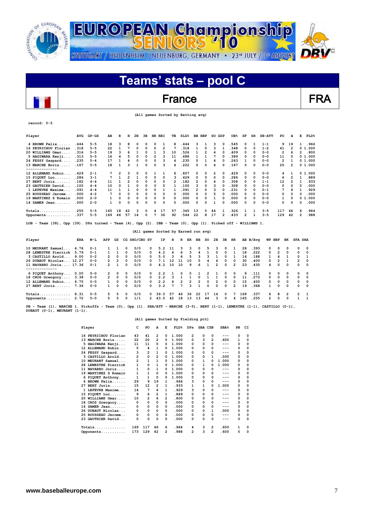

## France FRA

 **(All games Sorted by Batting avg)**

| $record: 0-5$                                                                                                   |      |         |                |                |              |          |               |                         |                |                                      |              |                  |                         |                |                |                         |                         |                         |              |                |                         |              |                |                |              |
|-----------------------------------------------------------------------------------------------------------------|------|---------|----------------|----------------|--------------|----------|---------------|-------------------------|----------------|--------------------------------------|--------------|------------------|-------------------------|----------------|----------------|-------------------------|-------------------------|-------------------------|--------------|----------------|-------------------------|--------------|----------------|----------------|--------------|
| Player                                                                                                          | AVG  | $GP-GS$ | AВ             | R              | н            | 2в       | 3B            | HR RBI                  |                | TВ                                   |              | SLG <sup>8</sup> | BB HBP                  |                | SO GDP         |                         | OB <sub>8</sub>         | SF                      | SH           | <b>SB-ATT</b>  | PO                      |              | A              | Е              | FLD%         |
| 4 BROWN Felix                                                                                                   | .444 | $5 - 5$ | 18             | 3              | 8            | 0        | 0             | 0                       | 1              | 8                                    |              | .444             | з                       | 1              | з              | 0                       | .545                    | 0                       | $\mathbf{1}$ | $1 - 1$        |                         | 9<br>19      |                | 1              | .966         |
| 16 PEYRICHOU Florian                                                                                            | .318 | $5 - 5$ | 22             | $\mathbf{1}$   | 7            | $\Omega$ | 0             | $\Omega$                | $\overline{2}$ | 7                                    |              | .318             | 1                       | 0              | 3              | $\mathbf{1}$            | .348                    | 0                       | $\Omega$     | $1 - 2$        | 41                      |              | $\overline{2}$ |                | 01.000       |
| 20 WILLIAMS Omar                                                                                                | .316 | $5 - 5$ | 19             | 3              | 6            | 1        | 0             | $\mathbf{1}$            | 3              | 10                                   |              | .526             | $\mathbf{1}$            | $\overline{2}$ | 4              | $\Omega$                | .409                    | 0                       | $\Omega$     | $0 - 0$        | $\overline{\mathbf{2}}$ |              | 6              | $\overline{2}$ | .800         |
| 5 HAGIWARA Kenji                                                                                                | .313 | $5 - 5$ | 16             | 4              | 5            | 0        | 0             | $\overline{\mathbf{2}}$ | 3              | 11                                   |              | .688             | 1                       | $\mathbf{1}$   | 7              | 0                       | .389                    | 0                       | 0            | $0 - 0$        | 11                      |              | 0              |                | 01.000       |
| 24 FESSY Gaspard                                                                                                | .235 | $5 - 4$ | 17             | 1              | 4            | 0        | 0             | $\Omega$                | 3              | 4                                    |              | .235             | 0                       | $\mathbf{1}$   | 4              | 0                       | .263                    | 1                       | 0            | $0 - 0$        | 2                       |              | 1              |                | 01.000       |
| 13 MARCHE Boris<br>--------------                                                                               | .167 | $5 - 5$ | 18             | 1              | 3            | 1        | 0             | 0                       | 3              | 4                                    |              | . 222            | 0                       | 0              | 4              | O                       | .167                    | 0                       | 0            | $0 - 0$        | 20                      |              | $\overline{2}$ |                | 01.000       |
| 12 ALLEMAND Robin                                                                                               | .429 | $2 - 1$ | 7              | $\overline{2}$ | 3            | 0        | 0             | 1                       | 1              | 6                                    |              | .857             | 0                       | O              | 2              | 0                       | . 429                   | 0                       | $\Omega$     | $0 - 0$        | 4                       |              | 1              |                | 0, 1, 000    |
| 15 PIOUET Luc                                                                                                   | .286 | $3 - 1$ | 7              | $\mathbf{1}$   | 2            | 1        | 0             | 0                       | 0              | 3                                    |              | .429             | 0                       | 0              | 0              | 0                       | .286                    | 0                       | 0            | $0 - 0$        |                         | 6            | $\overline{2}$ | 1              | .889         |
| 27 BERT Joris                                                                                                   | .182 | $4 - 4$ | 11             | 1              | 2            | $\Omega$ | 0             | $\Omega$                | 0              | $\overline{2}$                       |              | .182             | $\overline{2}$          | 0              | 4              | 0                       | .308                    | 0                       | $\Omega$     | $1 - 1$        | 12                      |              | $\overline{2}$ | $\mathbf{1}$   | . 933        |
| 23 GAUTHIER David                                                                                               | .100 | $4 - 4$ | 10             | 0              | $\mathbf{1}$ | $\Omega$ | 0             | $\Omega$                | 0              | 1                                    |              | .100             | з                       | O              | з              | $\Omega$                | .308                    | 0                       | $\Omega$     | $0 - 0$        | 0                       |              | 0              | 0              | .000         |
| 1 LEFEVRE Maxime                                                                                                | .091 | $4 - 4$ | 11             | $\mathbf{1}$   | $\mathbf{1}$ | 0        | 0             | 0                       | 1              | 1                                    |              | .091             | $\overline{\mathbf{c}}$ | $\Omega$       | 3              | 0                       | . 231                   | 0                       | 0            | $0 - 1$        |                         | 7            | 6              | 1              | .929         |
| 25 ROUSSEAU Jerome                                                                                              | .000 | $4 - 2$ | 7              | 0              | O            | 0        | 0             | 0                       | 0              | $\Omega$                             |              | .000             | 0                       | $\Omega$       | 5              | $\Omega$                | .000                    | 0                       | $\Omega$     | $0 - 0$        |                         | 0            | 0              | 0              | .000         |
| 19 MARTINEZ S Romain                                                                                            | .000 | $2 - 0$ | $\mathbf{1}$   | 0              | 0            | 0        | 0             | 0                       | 0              | 0                                    |              | .000             | 0                       | 0              | 1              | 0                       | . 000                   | 0                       | 0            | $0 - 0$        |                         | 1            | 0              |                | 0 1.000      |
| $14$ SAMER Jean                                                                                                 | .000 | $2 - 0$ | $\mathbf{1}$   | 0              | 0            | $\Omega$ | 0             | 0                       | 0              | 0                                    |              | .000             | 0                       | 0              | 1              | O                       | .000                    | 0                       | $\Omega$     | $0 - 0$        |                         | 0            | 0              | 0              | .000         |
| Totals                                                                                                          | .255 | $5 - 5$ | 165            | 18             | 42           | з        | 0             | 4                       | 17             | 57                                   |              | .345             | 13                      | 5              | 44             | 1                       | . 326                   | 1                       | 1            | $3 - 5$        | 117                     | 46           |                | 6              | .964         |
| Opponents                                                                                                       | .337 | $5 - 5$ | 169            | 46             | 57           | 14       | O             | 7                       | 36             | 92                                   |              | .544             | 22                      | 8              | 17             | $\overline{\mathbf{2}}$ | . 433                   | $\overline{\mathbf{2}}$ | 1            | $3 - 5$        | 129                     | 42           |                | 2              | .988         |
| Team (38), Opp (39). DPs turned - Team (4), Opp (2). IBB - Team (0), Opp (1). Picked off - WILLIAMS 1.<br>LOB - |      |         |                |                |              |          |               |                         |                |                                      |              |                  |                         |                |                |                         |                         |                         |              |                |                         |              |                |                |              |
|                                                                                                                 |      |         |                |                |              |          |               |                         |                | (All games Sorted by Earned run avg) |              |                  |                         |                |                |                         |                         |                         |              |                |                         |              |                |                |              |
| Player                                                                                                          | ERA  | W−L     | APP            | GS             |              |          | CG SHO/CBO SV |                         | ΙP             | н                                    |              | R ER             | ВB                      | so             | 2в             | Зв                      | HR.                     |                         | AB B/Avq     |                | WP HBP                  | вĸ           |                | <b>SFA SHA</b> |              |
|                                                                                                                 |      |         |                |                |              |          |               |                         |                |                                      |              |                  |                         |                |                |                         |                         |                         |              |                |                         |              |                |                |              |
| 10 MEURANT Samuel                                                                                               | 4.76 | $0 - 1$ | 1              | 1              | 0            | 0/0      |               | 0                       | 5.2            | 11                                   | з            | 3                | $\Omega$                | 5              | 3              | 0                       | 1                       | 28                      | .393         | 0              | 0                       | 0            |                | 0              | $\Omega$     |
| 28 LEMESTRE Pierrick                                                                                            | 5.79 | $0 - 1$ | 1              | $\mathbf{1}$   | 0            | 0/0      | 0             |                         | 4.2            | 4                                    | 6            | 3                | 4                       | 1              | 0              | 0                       | 1                       | 18                      | .222         | 0              | $\overline{2}$          | $\Omega$     |                | 0              | $\Omega$     |
| 3 CASTILLO Arold                                                                                                | 9.00 | $0 - 2$ | $\overline{2}$ | 0              | 0            | 0/0      |               | 0                       | 5.0            | 3                                    | 6            | 5                | 3                       | 3              | 1              | 0                       | 1                       | 16                      | .188         | 1              | 4                       | $\mathbf{1}$ |                | 0              | $\mathbf{1}$ |
| 26 DUBAUT Nicolas 12.27                                                                                         |      | $0 - 0$ | $\overline{2}$ | $\overline{2}$ | 0            | 0/0      |               | 0                       | 7.1            | 12                                   | 11           | 10               | 5                       | 4              | 4              | 0                       | 0                       | 30                      | .400         | 0              | 2                       | $\mathbf{1}$ |                | 2              | $\Omega$     |
| 11 NAVARRO Joris 17.36<br>--------------                                                                        |      | $0 - 1$ | $\overline{2}$ | $\mathbf{1}$   | 0            | 0/0      |               | 0                       | 4.2            | 10                                   | 10           | 9                | 6                       | $\mathbf{1}$   | $\overline{2}$ | 0                       | $\overline{2}$          | 23                      | .435         | 4              | 0                       | 0            |                | 0              | $\Omega$     |
| 6 PIQUET Anthony                                                                                                | 0.00 | $0 - 0$ | 2              | 0              | 0            | 0/0      |               | 0                       | 2.2            | 1                                    | 0            | 0                | 1                       | 2              | 1              | $\Omega$                | 0                       | 9                       | .111         | 0              | 0                       | $\Omega$     |                | 0              | 0            |
| 18 CROS Greogory                                                                                                | 3.38 | $0 - 0$ | $\overline{2}$ | 0              | $\Omega$     | 0/0      |               | 0                       | 2.2            | 3                                    | $\mathbf{1}$ | $\mathbf{1}$     | 0                       | $\mathbf{1}$   | $\mathbf{1}$   | 0                       | 0                       | 11                      | .273         | 0              | 0                       | $\Omega$     |                | 0              | $\Omega$     |
| 12 ALLEMAND Robin                                                                                               | 6.75 | $0 - 0$ | 1              | 0              | 0            | 0/0      |               | 0                       | 2.2            | 6                                    | 2            | $\overline{2}$   | 2                       | 0              | 2              | 0                       | $\mathbf 0$             | 15                      | .400         | 0              | 0                       | 0            |                | 0              | $\Omega$     |
| 27 BERT Joris                                                                                                   | 7.36 | $0 - 0$ | 1              | 0              | 0            | 0/0      |               | 0                       | 3.2            | 7                                    | 7            | 3                | $\mathbf{1}$            | $\Omega$       | 0              | 0                       | $\overline{\mathbf{2}}$ | 19                      | .368         | 1              | 0                       | 0            |                | $\mathbf 0$    | $\Omega$     |
| Totals                                                                                                          | 8.31 | $0 - 5$ | 5              | 5              | $\Omega$     | 0/0      |               | 0                       | 39.0           | 57                                   | 46           | 36               | 22                      | 17             | 14             | $\Omega$                | 7                       | 169                     | .337         | 6              | 8                       | 2            |                | 2              | 1            |
| Opponents                                                                                                       | 2.72 | $5 - 0$ | 5              | 5              | 0            | 1/1      |               | 2                       | 43.0           | 42                                   | 18           | 13               | 13                      | 44             | 3              | 0                       | 4                       | 165                     | .255         | $\overline{2}$ | 5                       | 0            |                | $\mathbf{1}$   | $\mathbf{1}$ |
|                                                                                                                 |      |         |                |                |              |          |               |                         |                |                                      |              |                  |                         |                |                |                         |                         |                         |              |                |                         |              |                |                |              |

**PB - Team (1), MARCHE 1. Pickoffs - Team (0), Opp (1). SBA/ATT - MARCHE (3-5), BERT (1-1), LEMESTRE (1-1), CASTILLO (0-1), DUBAUT (0-1), MEURANT (1-1).** 

#### **(All games Sorted by Fielding pct)**

|    | Player               | c              | PO             | A              | Е              | FLD <sup>8</sup> | DPs      | SBA CSB  |   | SBA <sup>8</sup> | PB       | CI          |
|----|----------------------|----------------|----------------|----------------|----------------|------------------|----------|----------|---|------------------|----------|-------------|
|    | 16 PEYRICHOU Florian | 43             | 41             | 2              | 0              | 1.000            | 2        | 0        | 0 | ---              | 0        | $\mathbf 0$ |
|    | 13 MARCHE Boris      | 22             | 20             | 2              | 0              | 1.000            | $\Omega$ | з        | 2 | .600             | 1        | $\Omega$    |
|    | 5 HAGIWARA Kenji     | 11             | 11             | 0              | 0              | 1.000            | 0        | 0        | 0 | ---              | 0        | 0           |
|    | 12 ALLEMAND Robin    | 5              | 4              | 1              | 0              | 1.000            | O        | $\Omega$ | 0 |                  | $\Omega$ | 0           |
|    | 24 FESSY Gaspard     | 3              | 2              | 1              | 0              | 1.000            | $\Omega$ | 0        | 0 | ---              | 0        | 0           |
|    | 3 CASTILLO Arold     | $\overline{2}$ | 0              | $\overline{2}$ | 0              | 1.000            | 0        | 0        | 1 | .000             | 0        | 0           |
|    | 10 MEURANT Samuel    | $\overline{2}$ | 1              | 1              | 0              | 1.000            | $\Omega$ | 1        | 0 | 1.000            | 0        | $\Omega$    |
| 28 | LEMESTRE Pierrick    | 1              | 0              | 1              | 0              | 1.000            | 0        | 1        | 0 | 1.000            | 0        | 0           |
|    | 11 NAVARRO Joris     | 1              | 0              | 1              | 0              | 1.000            | O        | 0        | 0 | ---              | 0        | 0           |
|    | 19 MARTINEZ S Romain | 1              | 1              | 0              | 0              | 1.000            | 0        | 0        | 0 | ---              | 0        | 0           |
|    | 6 PIQUET Anthony     | 1              | $\mathbf{1}$   | $\Omega$       | 0              | 1.000            | 0        | 0        | 0 | ---              | 0        | 0           |
|    | 4 BROWN Felix        | 29             | 9              | 19             | 1              | .966             | 3        | 0        | 0 | ---              | 0        | 0           |
| 27 | BERT Joris           | 15             | 12             | 2              | 1              | .933             | 1        | 1        | 0 | 1.000            | 0        | 0           |
|    | 1 LEFEVRE Maxime     | 14             | 7              | 6              | 1              | .929             | 3        | 0        | 0 | ---              | 0        | 0           |
|    | 15 PIQUET Luc        | 9              | 6              | 2              | 1              | .889             | 0        | 0        | 0 |                  | 0        | 0           |
|    | 20 WILLIAMS Omar     | 10             | $\overline{2}$ | 6              | $\overline{2}$ | .800             | 0        | 0        | 0 | ---              | 0        | 0           |
|    | 18 CROS Greogory     | 0              | 0              | 0              | 0              | .000             | 0        | 0        | 0 | ---              | 0        | 0           |
|    | 14 SAMER Jean        | 0              | 0              | 0              | 0              | .000             | 0        | 0        | 0 | ---              | $\Omega$ | 0           |
|    | 26 DUBAUT Nicolas    | 0              | 0              | 0              | 0              | .000             | 0        | 0        | 1 | .000             | 0        | 0           |
|    | 25 ROUSSEAU Jerome   | 0              | 0              | 0              | $\mathbf{o}$   | .000             | 0        | 0        | 0 | ---              | 0        | 0           |
|    | 23 GAUTHIER David    | 0              | 0              | 0              | 0              | .000             | 0        | n        | 0 | ---              | 0        | 0           |
|    | $Totals$             | 169            | 117            | 46             | 6              | . 964            | 4        | з        | 2 | .600             | 1        | 0           |
|    | Opponents            | 173            | 129            | 42             | 2              | .988             | 2        | 3        | 2 | .600             | 0        | 0           |

 $\overline{\phantom{a}}$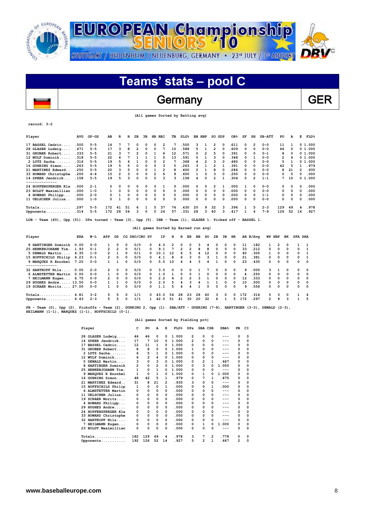

## Germany GER

 **(All games Sorted by Batting avg)**

| Player                                                                                                                                                                       | <b>AVG</b> | $GP - GS$ | AB                      | R              | н        | 2в             | 3в          | HR RBI                               |                         | TВ       | SLG <sup>8</sup> |                |    | BB HBP         | SO GDP                  |          | OB <sub>8</sub> | SF  | SH             | $SB-ATT$ | PO       | A            | Е              | FLD <sup>8</sup> |
|------------------------------------------------------------------------------------------------------------------------------------------------------------------------------|------------|-----------|-------------------------|----------------|----------|----------------|-------------|--------------------------------------|-------------------------|----------|------------------|----------------|----|----------------|-------------------------|----------|-----------------|-----|----------------|----------|----------|--------------|----------------|------------------|
| 17 BASSEL Cedric                                                                                                                                                             | .500       | $5 - 5$   | 14                      | 7              | 7        | $\Omega$       | 0           | 0                                    | 2                       | 7        | .500             |                | 3  | 1              | 2                       | 0        | . 611           | 0   | $\overline{2}$ | $0 - 0$  | 11       | 1            |                | 01.000           |
| 28 GLASER Ludwig                                                                                                                                                             | .471       | $5 - 5$   | 17                      | 3              | 8        | 2              | 0           | $\Omega$                             | 7                       | 10       | .588             |                | 5  | $\mathbf{1}$   | $\overline{\mathbf{2}}$ | $\Omega$ | . 609           | 0   | $\Omega$       | $0 - 0$  | 46       | 0            |                | 01.000           |
| 31 GRUBER Robert                                                                                                                                                             | . 333      | $5 - 5$   | 21                      | 3              | 7        | $\overline{2}$ | 0           | 1                                    | 6                       | 12       | .571             |                | 0  | $\overline{2}$ | 5                       | O        | . 391           | 0   | 0              | $0 - 1$  | 8        | 0            |                | 01.000           |
| 12 WULF Dominik                                                                                                                                                              | .318       | $5 - 5$   | 22                      | 6              | 7        | 1              | 1           | 1                                    | 5                       | 13       | .591             |                | 0  | 1              | 3                       | $\Omega$ | .348            | 0   | 1              | $0 - 0$  | 2        | 4            |                | 01.000           |
| 2 LUTZ Sacha                                                                                                                                                                 | .316       | $5 - 5$   | 19                      | 5              | 6        | 1              | 0           | $\Omega$                             | $\overline{2}$          | 7        | .368             |                | 4  | $\overline{2}$ | 3                       | $\Omega$ | .480            | O   | $\Omega$       | $0 - 0$  | 5        | $\mathbf{1}$ | 0              | 1,000            |
| 16 GUHRING Simon                                                                                                                                                             | .263       | $5 - 5$   | 19                      | 5              | 5        | 0              | 0           | O                                    | 3                       | 5        | .263             |                | ٩  | 1              | $\overline{2}$          | 1        | .391            | 0   | $\Omega$       | $0 - 0$  | 42       | 5            | 1              | .979             |
| 21 MARTINEZ Edward                                                                                                                                                           | .250       | $5 - 5$   | 20                      | 3              | 5        | 0              | 0           | 1                                    | $\overline{\mathbf{c}}$ | 8        | .400             |                | 0  | $\mathbf{1}$   | 8                       | $\Omega$ | . 286           | 0   | O              | $0 - 0$  | 8        | 21           | 2              | .935             |
| 33 HOWARD Christophe                                                                                                                                                         | .200       | $4 - 4$   | 15                      | $\overline{2}$ | 3        | $\Omega$       | O           | $\overline{2}$                       | 6                       | 9        | .600             |                | 1  | $\Omega$       | 3                       | $\Omega$ | .250            | 0   | O              | $0 - 0$  | 0        | 0            | 0              | .000             |
| 14 SPEER Jendrick                                                                                                                                                            | .158       | $5 - 5$   | 19                      | 5              | 3        | $\mathbf 0$    | 0           | $\Omega$                             | 3                       | 3        | .158             |                | 4  | $\Omega$       | $\overline{\mathbf{2}}$ | 1        | .304            | 0   | 2              | $1 - 1$  | 7        | 10           |                | 01.000           |
| 24 HOPFENSPERGER Kla                                                                                                                                                         | .000       | $2 - 1$   | 5                       | 0              | 0        | 0              | 0           | 0                                    | 1                       | 0        | .000             |                | 0  | 0              | 2                       | 1        | .000            | 1   | 0              | $0 - 0$  | 0        | 0            | 0              | .000             |
| 23 BOLDT Maximillian                                                                                                                                                         | .000       | $1 - 0$   | $\mathbf{1}$            | 0              | 0        | $\Omega$       | 0           | $\Omega$                             | $\Omega$                | $\Omega$ | .000             |                | 0  | $\Omega$       | 0                       | $\Omega$ | .000            | 0   | O              | $0 - 0$  | 0        | 0            | 0              | .000             |
| 4 HOWARD Philipp                                                                                                                                                             | .000       | $2 - 0$   | 0                       | 1              | 0        | 0              | 0           | 0                                    | 0                       | O        | .000             |                | 0  | $\mathbf 0$    | 0                       | $\Omega$ | .000            | 0   | $\Omega$       | $1 - 1$  | 0        | 0            | 0              | .000             |
| 11 UELSCHEN Julius                                                                                                                                                           | .000       | $1 - 0$   | 0                       | $\mathbf{1}$   | 0        | $\mathbf 0$    | $\mathbf 0$ | $\mathbf 0$                          | 0                       | 0        | .000             |                | 0  | $\mathbf 0$    | 0                       | $\Omega$ | .000            | 0   | 0              | $0 - 0$  | 0        | 0            | 0              | .000             |
| $Totals$                                                                                                                                                                     | .297       | $5 - 5$   | 172                     | 41             | 51       | 6              | 1           | 5                                    | 37                      | 74       | .430             |                | 20 | 9              | 32                      | з        | .396            | 1   | 5              | $2 - 3$  | 129      | 49           | 4              | .978             |
| Opponents                                                                                                                                                                    | .314       | $5 - 5$   | 172                     | 28             | 54       | 3              | 0           | $\Omega$                             | 24                      | 57       | .331             |                | 28 | 3              | 40                      | 3        | .417            | 1   | 4              | $7 - 9$  | 126      | 52           | 14             | .927             |
| LOB - Team (40), Opp (51). DPs turned - Team (3), Opp (5). IBB - Team (1), GLASER 1. Picked off - BASSEL 1.                                                                  |            |           |                         |                |          |                |             | (All games Sorted by Earned run avg) |                         |          |                  |                |    |                |                         |          |                 |     |                |          |          |              |                |                  |
| Player                                                                                                                                                                       | ERA        | W−L       | APP                     | GS             |          | CG SHO/CBO SV  |             |                                      | ΙP                      | н        | R                | ER             | ВB | so             | 2в                      | Зв       | HR.             |     | AB B/Avq       |          | WP HBP   | вĸ           | <b>SFA SHA</b> |                  |
| 8 HARTINGER Dominik                                                                                                                                                          | 0.00       | $0 - 0$   | 1                       | 0              | $\Omega$ | 0/0            |             | 0                                    | 4.0                     | 2        | 0                | 0              | 3  | 4              | 0                       | $\Omega$ | 0               | 11  | .182           | 1        | 2        | 0            | 1              | $\mathbf{1}$     |
| 25 HENKENJOHANN Tim.                                                                                                                                                         | 1.93       | $0 - 1$   | 2                       | 2              | 0        | 0/1            |             | 0                                    | 9.1                     | 7        | 2                | 2              | 8  | 8              | 0                       | 0        | 0               | 33  | .212           | 0        | 0        | $\Omega$     | 0              | 1                |
| 5 DEWALD Martin                                                                                                                                                              | 4.35       | $1 - 0$   | 2                       | 1              | $\Omega$ | 0/1            |             | 10.1<br>0                            |                         | 12       | 6                | 5              | 4  | 12             | 0                       | 0        | 0               | 40  | .300           | 1        | 0        | O            | 0              | 1                |
| 15 HOFFSCHILD Philip                                                                                                                                                         | 6.23       | $0 - 1$   | 2                       | 0              | 0        | 0/0            |             | 0                                    | 4.1                     | 8        | 6                | 3              | 0  | 3              | 1                       | 0        | 0               | 21  | .381           | 0        | 0        | $\Omega$     | 0              | $\mathbf{1}$     |
| 9 MARQUEZ R Enorbel<br>--------                                                                                                                                              | 7.20       | $0 - 0$   | $\mathbf{1}$            | 1              | $\Omega$ | 0/0            |             | 0                                    | 5.0                     | 10       | 4                | 4              | 3  | 4              | 1                       | $\Omega$ | 0               | 23  | .435           | 0        | 0        | 0            | 0              | $\Omega$         |
| 32 HARTKOPF Nils                                                                                                                                                             | 0.00       | $2 - 0$   | 2                       | 0              | 0        | 0/0            |             | 0                                    | 3.0                     | 0        | 0                | 0              | 1  | 7              | 0                       | 0        | 0               | 9   | .000           | з        | 1        | 0            | 0              | 0                |
| 6 ALMSTETTER Martin                                                                                                                                                          | 0.00       | $0 - 0$   | $\mathbf{1}$            | 0              | 0        | 0/0            |             | 0                                    | 1.0                     | 1        | 0                | $\Omega$       | 1  | 0              | 0                       | 0        | 0               | 4   | .250           | 0        | 0        | O            | 0              | $\Omega$         |
| 7 HEILMANN Eugen                                                                                                                                                             | 6.75       | $0 - 0$   | $\overline{\mathbf{c}}$ | 0              | $\Omega$ | 0/0            |             | 0                                    | 2.2                     | 4        | 2                | $\overline{2}$ | 3  | 1              | 0                       | 0        | 0               | 12  | .333           | 0        | $\Omega$ | O            | 0              | 0                |
| 29 HUGHES Andre 13.50                                                                                                                                                        |            | $0 - 0$   | 1                       | 1              | 0        | 0/0            |             | 0                                    | 2.0                     | 5        | 4                | 3              | 4  | 1              | 1                       | 0        | 0               | 10  | .500           | 0        | 0        | O            | 0              | 0                |
| 19 SCKAER Moritz 27.00                                                                                                                                                       |            | $0 - 0$   | 1                       | 0              | 0        | 0/0            |             | 0                                    | 1.1                     | 5        | 4                | 4              | 1  | $\Omega$       | 0                       | 0        | 0               | 9   | .556           | 0        | 0        | O            | 0              | 0                |
| Totals                                                                                                                                                                       | 4.81       | $3 - 2$   | 5                       | 5              | 0        | 1/1            |             | 43.0<br>0                            |                         | 54       | 28               | 23             | 28 | 40             | з                       | 0        | 0               | 172 | .314           | 5        | з        | 0            | 1              | 4                |
| Opponents                                                                                                                                                                    | 6.43       | $2 - 3$   | 5                       | 5              | 0        | 1/1            |             | 42.0<br>1                            |                         | 51       | 41               | 30             | 20 | 32             | 6                       | 1        | 5               | 172 | .297           | 2        | ۹        | ٩            | $\mathbf{1}$   | 5                |
| PB - Team (0), Opp (2). Pickoffs - Team (2), GUHRING 2, Opp (1). SBA/ATT - GUHRING (7-8), HARTINGER (3-3), DEWALD (2-3),<br>HEILMANN (1-1), MARQUEZ (1-1), HOFFSCHILD (0-1). |            |           |                         |                |          |                |             |                                      |                         |          |                  |                |    |                |                         |          |                 |     |                |          |          |              |                |                  |

 $\overline{\phantom{a}}$ 

**record: 3-2**

#### **(All games Sorted by Fielding pct)**

|    | Player               | c   | PO  | A              | E        | FLD <sup>8</sup> | DPs      | SBA CSB                 |                | SBA <sup>8</sup> | PB       | CI |
|----|----------------------|-----|-----|----------------|----------|------------------|----------|-------------------------|----------------|------------------|----------|----|
|    | 28 GLASER Ludwig     | 46  | 46  | 0              | $\Omega$ | 1.000            | 2        | 0                       | 0              |                  | $\Omega$ | 0  |
|    | 14 SPEER Jendrick    | 17  | 7   | 10             | 0        | 1.000            | 2        | 0                       | 0              |                  | 0        | 0  |
| 17 | BASSEL Cedric        | 12  | 11  | 1              | 0        | 1.000            | $\Omega$ | 0                       | 0              |                  | 0        | 0  |
|    | 31 GRUBER Robert     | 8   | 8   | 0              | 0        | 1.000            | 1        | 0                       | 0              |                  | 0        | 0  |
|    | 2 LUTZ Sacha         | 6   | 5   | 1              | 0        | 1.000            | O        | 0                       | 0              |                  | 0        | 0  |
|    | 12 WULF Dominik      | 6   | 2   | 4              | 0        | 1.000            | 0        | 0                       | 0              | ---              | $\Omega$ | 0  |
| 5. | DEWALD Martin        | 3   | 0   | 3              | 0        | 1.000            | 0        | $\overline{2}$          | 1              | .667             | 0        | 0  |
|    | HARTINGER Dominik    | 2   | 0   | $\overline{2}$ | 0        | 1.000            | O        | 3                       | <sup>0</sup>   | 1.000            | 0        | 0  |
| 25 | HENKENJOHANN Tim.    | 1   | 0   | $\mathbf{1}$   | 0        | 1.000            | 0        | 0                       | 0              | ---              | 0        | 0  |
|    | 9 MARQUEZ R Enorbel  | 1   | 0   | 1              | 0        | 1.000            | 0        | 1                       | 0              | 1.000            | 0        | 0  |
|    | 16 GUHRING Simon     | 48  | 42  | 5              | 1        | .979             | 0        | 7                       | 1              | .875             | 0        | 0  |
|    | 21 MARTINEZ Edward   | 31  | 8   | 21             | 2        | .935             | 3        | 0                       | 0              | ---              | 0        | 0  |
|    | 15 HOFFSCHILD Philip | 1   | 0   | 0              | 1        | .000             | 0        | 0                       | 1              | .000             | 0        | 0  |
| 6  | ALMSTETTER Martin    | 0   | 0   | 0              | 0        | .000             | 0        | 0                       | 0              | ---              | 0        | 0  |
| 11 | UELSCHEN Julius      | 0   | 0   | 0              | 0        | .000             | $\Omega$ | 0                       | 0              | ---              | $\Omega$ | 0  |
|    | 19 SCKAER Moritz     | 0   | 0   | 0              | 0        | .000             | 0        | 0                       | 0              | ---              | 0        | 0  |
|    | 4 HOWARD Philipp     | 0   | 0   | 0              | 0        | .000             | 0        | 0                       | 0              | ---              | 0        | 0  |
|    | 29 HUGHES Andre      | 0   | 0   | 0              | 0        | .000             | 0        | 0                       | 0              |                  | 0        | 0  |
|    | 24 HOPFENSPERGER Kla | 0   | 0   | 0              | 0        | .000             | O        | 0                       | 0              |                  | 0        | 0  |
|    | 33 HOWARD Christophe | 0   | 0   | 0              | 0        | .000             | 0        | 0                       | 0              | ---              | 0        | 0  |
|    | 32 HARTKOPF Nils     | 0   | 0   | 0              | 0        | .000             | 0        | 0                       | 0              | ---              | 0        | 0  |
|    | 7 HEILMANN Eugen     | 0   | 0   | 0              | 0        | .000             | 0        | 1                       | 0              | 1.000            | 0        | 0  |
|    | 23 BOLDT Maximillian | 0   | 0   | 0              | 0        | .000             | 0        | 0                       | 0              | ---              | 0        | 0  |
|    | Totals<br>.          | 182 | 129 | 49             | 4        | .978             | 3        | 7                       | $\overline{2}$ | .778             | 0        | 0  |
|    | Opponents            | 192 | 126 | 52             | 14       | . 927            | 5        | $\overline{\mathbf{2}}$ | 1              | .667             | 2        | 0  |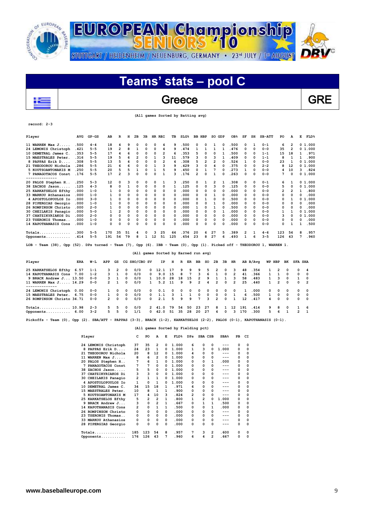

## Greece Reserve GRE

 **(All games Sorted by Batting avg)**

| Player                                                                                                                                                                                                                                                                                                            | <b>AVG</b> | $GP - GS$ | AB  | R              | н  | 2в       | 3в | HR RBI |    | TВ           | SLG <sup>8</sup> |    | <b>BB HBP</b> | so | GDP      | OB <sub>8</sub> | SF | SH       | SB-ATT                                                         | PO  | А        | Е | <b>FLD%</b> |
|-------------------------------------------------------------------------------------------------------------------------------------------------------------------------------------------------------------------------------------------------------------------------------------------------------------------|------------|-----------|-----|----------------|----|----------|----|--------|----|--------------|------------------|----|---------------|----|----------|-----------------|----|----------|----------------------------------------------------------------|-----|----------|---|-------------|
| 11 WARREN Max J                                                                                                                                                                                                                                                                                                   | .500       | $4 - 4$   | 18  | 4              | 9  | 0        | 0  | 0      | 4  | 9            | .500             | 0  | 0             |    | 0        | .500            | 0  | 1        | $0 - 1$                                                        | 6   | 2        |   | 0 1.000     |
| 24 LEMONIS Christoph                                                                                                                                                                                                                                                                                              | .421       | $5 - 5$   | 19  | $\overline{2}$ | 8  |          | 0  | 0      | 4  | 9            | .474             |    |               |    |          | .476            | 0  | 0        | $0 - 0$                                                        | 35  | 2        |   | 01.000      |
| 10 DEMETRAL James C.                                                                                                                                                                                                                                                                                              | .353       | $5 - 5$   | 17  | 4              |    | $\Omega$ | 0  | 0      | 2  | 6            | .353             | 5  | 0             | 0  |          | .500            | 0  | 0        | $1 - 1$                                                        | 15  | 18       |   | .971        |
| 15 MAESTRALES Peter.                                                                                                                                                                                                                                                                                              | 316        | $5 - 5$   | 19  | 5              |    | 2        | 0  |        | ٩  | 11           | .579             | ٩  | 0             |    |          | . 409           | O  | n        | $1 - 1$                                                        | 8   |          |   | .900        |
| 8 PAPPAS Erik D.                                                                                                                                                                                                                                                                                                  | .308       | $5 - 5$   | 13  | 5              |    | $\Omega$ | n  | O      | 2  | 4            | .308             | 5  | 2             | 2  | O        | .524            |    | O        | $0 - 0$                                                        | 23  |          |   | 01.000      |
| 21 THEODOROU Nichola                                                                                                                                                                                                                                                                                              | .286       | $5 - 5$   | 21  |                | 6  | $\Omega$ |    |        | 3  | 9            | .429             |    | 0             |    | O        | .375            | 0  | $\Omega$ | $2 - 2$                                                        | 8   | 12       |   | 01.000      |
| 5 KOUTSOANTONAKIS M                                                                                                                                                                                                                                                                                               | .250       | $5 - 5$   | 20  |                |    | 1        | 0  |        | 5  | 9            | .450             | 0  |               |    | 0        | . 273           | 1  | $\Omega$ | $0 - 0$                                                        | 4   | 10       | 3 | .824        |
| 7 PANAGOTACOS Const                                                                                                                                                                                                                                                                                               | .176       | $5 - 5$   | 17  | 2              | ٩  | $\Omega$ | O  | 0      |    | ٩            | .176             | 2  | 0             |    | $\Omega$ | .263            | O  | O        | $0 - 0$                                                        | 7   | O        |   | 01.000      |
| 20 PALOS Stephen H                                                                                                                                                                                                                                                                                                | . 250      | $5 - 3$   | 12  | 0              | 3  | 0        | 0  | 0      |    | 3            | .250             | 0  |               | 2  |          | . 308           | 0  | $\Omega$ | $0 - 1$                                                        | 6   |          |   | 0 1.000     |
| 38 ZACHOS Jason                                                                                                                                                                                                                                                                                                   | .125       | $4 - 3$   | я   | 0              |    | 0        |    | 0      | 0  | 1            | .125             | 0  | 0             | ٩  | 0        | .125            | 0  | 0        | $0 - 0$                                                        | 5   | $\Omega$ | 0 | 1.000       |
| 25 KARKATSELOS Efthy                                                                                                                                                                                                                                                                                              | .000       | $1 - 0$   |     | 0              |    | $\Omega$ |    | 0      | O  | 0            | .000             | O  | 0             |    | $\Omega$ | .000            | O  | O        | $0 - 0$                                                        | 2   |          |   | .800        |
| 33 MARKOU Athanasios                                                                                                                                                                                                                                                                                              | .000       | $1 - 0$   |     | n              |    | n        |    | n      | O  | <sup>0</sup> | .000             | n  | O             |    | O        | .000            | O  | O        | $0 - 0$                                                        | 0   | O        | ი | .000        |
| 4 APOSTOLOPOULOS IO                                                                                                                                                                                                                                                                                               | .000       | $3 - 0$   |     | 0              | O  | $\Omega$ |    | 0      | 0  | 0            | .000             |    |               |    | O        | . 500           | 0  | O        | $0 - 0$                                                        | 0   |          | 0 | 1.000       |
| 28 PIPERGIAS Georgio                                                                                                                                                                                                                                                                                              | .000       | $1 - 0$   |     | O              | O  | 0        | ი  | 0      | 0  | 0            | . 000            | n  | 0             |    | $\Omega$ | . 000           | 0  | n        | $0 - 0$                                                        | 0   | O        | ი | . 000       |
| 26 ROMPINSON Christo                                                                                                                                                                                                                                                                                              | .000       | $2 - 0$   |     | 0              |    | n        |    | n      | 0  | 0            | .000             |    | 0             |    |          | .500            | O  | O        | $0 - 0$                                                        | 0   | 0        | ٥ | .000        |
| 30 CHEILAKIS Panagio                                                                                                                                                                                                                                                                                              | .000       | $5 - 0$   |     | 2              | 0  | $\Omega$ |    | 0      | 0  | 0            | .000             | 0  | 0             | 0  |          | .000            | O  | 0        | $0 - 0$                                                        |     |          |   | 0 1.000     |
| 37 CHATZIKYRIAKOS Di                                                                                                                                                                                                                                                                                              | . 000      | $2 - 0$   |     | 0              | O  | $\Omega$ | 0  | 0      | 0  | 0            | .000             | 0  | 0             | n  | O        | .000            | 0  | 0        | $0 - 0$                                                        | 3   | 0        | 0 | 1.000       |
| 23 TSERONIS Thomas.                                                                                                                                                                                                                                                                                               | . 000      | $1 - 0$   | 0   | 0              | 0  | $\Omega$ |    | 0      | 0  | 0            | .000             | 0  | 0             | 0  | 0        | .000            | 0  | 0        | $0 - 0$                                                        | 0   | 0        | ი | .000        |
| 14 KAPOTHANASIS Cons                                                                                                                                                                                                                                                                                              | .000       | $1 - 0$   | 0   | 0              | O  | $\Omega$ | 0  | 0      | 0  | 0            | .000             | O  | 0             | n  |          | .000            |    | O        | $0 - 0$                                                        | 0   |          |   | .500        |
|                                                                                                                                                                                                                                                                                                                   | .300       | $5 - 5$   | 170 | 35             | 51 | 4        | 0  | ٩      | 25 | 64           | .376             | 20 | 6             | 27 | 5        | .389            | 2  |          | $4 - 6$                                                        | 123 | 54       | 8 | .957        |
| Opponents                                                                                                                                                                                                                                                                                                         | .414       | $5 - 5$   | 191 | 54             | 79 | 8        |    | 12     | 51 | 125          | . 654            | 23 | 8             | 27 | 6        | . 493           |    | 6        | $3 - 5$                                                        | 126 | 43       |   | .960        |
| $\mathcal{L}$ and $\mathcal{L}$ and $\mathcal{L}$ and $\mathcal{L}$ and $\mathcal{L}$ and $\mathcal{L}$ and $\mathcal{L}$ and $\mathcal{L}$ and $\mathcal{L}$ and $\mathcal{L}$ and $\mathcal{L}$ and $\mathcal{L}$ and $\mathcal{L}$ and $\mathcal{L}$ and $\mathcal{L}$ and $\mathcal{L}$ and $\mathcal{L}$ and |            |           |     |                |    |          |    |        |    |              |                  |    |               |    |          |                 |    |          | $m_{11}$ $m_{22}$ $m_{31}$ $m_{12}$ $m_{13}$ $m_{14}$ $m_{15}$ |     |          |   |             |

**LOB - Team (38), Opp (52). DPs turned - Team (7), Opp (6). IBB - Team (0), Opp (1). Picked off - THEODOROU 1, WARREN 1.** 

### **(All games Sorted by Earned run avg)**

| Player                     | ERA  | W-L     | APP           | GS       |            | CG SHO/CBO SV |              | IP.    | н        |          | R ER     | BB             | SO 2B      |                | 3B         | HR.            |     | AB B/Ava | WP HBP       |                | вĸ       | <b>SFA SHA</b> |            |
|----------------------------|------|---------|---------------|----------|------------|---------------|--------------|--------|----------|----------|----------|----------------|------------|----------------|------------|----------------|-----|----------|--------------|----------------|----------|----------------|------------|
| 25 KARKATSELOS Efthy 6.57  |      | $1 - 1$ | 3             | 2        | $^{\circ}$ | 0/0           | $^{\circ}$   | 12.1   |          | 9.       | 9        | 9              | 5.         | 2              | $^{\circ}$ | 3              | 48  | .354     |              | 2              | - 0      | $\Omega$       | -4         |
| 14 KAPOTHANASIS Cons       | 7.00 | $1 - 2$ | 3             |          | $\Omega$   | 0/0           | $^{\circ}$   | 9.0    | 15       | 8        | 7        | 3              | 6          |                | $\Omega$   | $\overline{2}$ | 41  | .366     |              |                | $\Omega$ | $\Omega$       | $\Omega$   |
| 9 BRACK Andrew J 13.50     |      | $0 - 0$ | 3             |          | 0          | 0/0           | $\mathbf{1}$ | 10.0   | -28      | 18       | 15       | $\overline{2}$ | 9          |                |            | 3              | 58  | .483     |              | 3              | $\Omega$ |                | $\Omega$   |
| 11 WARREN Max J 14.29      |      | $0 - 0$ | $\mathcal{P}$ |          | 0          | 0/0           | $\mathbf{1}$ | 5.2    | 11       | 9        | 9        | $\overline{2}$ | 4          | $\overline{2}$ | $^{\circ}$ | $\overline{2}$ | 25  | .440     | $\mathbf{1}$ | $\overline{2}$ | $\Omega$ | $\Omega$       | 2          |
|                            |      |         |               |          |            |               |              |        |          |          |          |                |            |                |            |                |     |          |              |                |          |                |            |
| 24 LEMONIS Christoph 0.00  |      | $0 - 0$ | $\mathbf{1}$  | $\Omega$ | $^{\circ}$ | 0/0           | $^{\circ}$   | 0.1    | $\Omega$ | $\Omega$ | $\Omega$ | $^{\circ}$     | $^{\circ}$ | $\Omega$       | $^{\circ}$ | $\Omega$       | 1   | .000     | $^{\circ}$   | $^{\circ}$     | $\Omega$ | $\Omega$       | $^{\circ}$ |
| 15 MAESTRALES Peter.       | 6.75 | $0 - 0$ |               | $\Omega$ | $\Omega$   | 0/0           | $^{\circ}$   | 1.1    | ٦        |          |          | $\Omega$       | $^{\circ}$ | $\Omega$       | $\Omega$   |                | 6   | .500     |              | $\Omega$       | $\Omega$ | $\Omega$       | - 0        |
| 26 ROMPINSON Christo 34.71 |      | $0 - 0$ | $\mathbf{2}$  | $\Omega$ | 0          | 0/0           | 0            | 2.1    | 5.       | ۹        | 9        | 7              | 3          | $\mathcal{P}$  | $\Omega$   |                | 12  | .417     | 4            | $\Omega$       | $\Omega$ | $\Omega$       | $\Omega$   |
| Totals 10.98               |      | $2 - 3$ | 5.            | 5.       | $^{\circ}$ | 0/0           |              | 2 41.0 | 79       | 54       | 50       | 23             | 27         | 8              |            | $12^{\circ}$   | 191 | .414     | 9            | 8              | $\Omega$ |                |            |
| Opponents                  | 6.00 | $3 - 2$ | 5.            | 5        | 0          | 1/1           | $^{\circ}$   | 42.0   | 51       | 35       | 28       | 20             | 27         | 4              | 0          |                | 170 | .300     | 5.           | 6              |          | $\mathcal{P}$  |            |

**Pickoffs - Team (0), Opp (2). SBA/ATT - PAPPAS (3-3), BRACK (1-2), KARKATSELOS (2-2), PALOS (0-1), KAPOTHANASIS (0-1).** 

#### **(All games Sorted by Fielding pct)**

|    | Player               | c              | PO           | A              | Е        | FLD <sup>8</sup> | DPs | SBA CSB        |   | SBA <sup>8</sup> | PB       | CI       |
|----|----------------------|----------------|--------------|----------------|----------|------------------|-----|----------------|---|------------------|----------|----------|
|    | 24 LEMONIS Christoph | 37             | 35           | 2              | 0        | 1.000            | 6   | 0              | 0 | $---$            | 0        | 0        |
| 8  | PAPPAS Erik D        | 24             | 23           | 1              | 0        | 1.000            | 1   | 3              | 0 | 1.000            | 0        | $\Omega$ |
| 21 | THEODOROU Nichola    | 20             | 8            | 12             | 0        | 1.000            | 4   | 0              | 0 | ---              | 0        | 0        |
| 11 | WARREN Max J         | 8              | 6            | $\overline{2}$ | 0        | 1.000            | 0   | 0              | 0 | ---              | 0        | 0        |
| 20 | PALOS Stephen H      | 7              | 6            | 1              | 0        | 1.000            | 0   | 0              | 1 | .000             | 0        | 0        |
| 7  | PANAGOTACOS Const    | 7              | 7            | 0              | 0        | 1.000            | 0   | 0              | O | ---              | $\Omega$ | 0        |
| 38 | ZACHOS Jason         | 5              | 5            | 0              | 0        | 1.000            | 0   | 0              | 0 | ---              | $\Omega$ | 0        |
| 37 | CHATZIKYRIAKOS Di    | 3              | 3            | 0              | 0        | 1.000            | 0   | 0              | 0 | ---              | $\Omega$ | 0        |
|    | 30 CHEILAKIS Panagio | 2              | $\mathbf{1}$ | 1              | 0        | 1.000            | 0   | 0              | 0 | ---              | 0        | 0        |
|    | 4 APOSTOLOPOULOS IO  | 1              | $\Omega$     | 1              | 0        | 1.000            | 0   | 0              | 0 | ---              | 0        | 0        |
|    | 10 DEMETRAL James C. | 34             | 15           | 18             | 1        | .971             | 6   | 0              | 0 | ---              | 0        | 0        |
|    | 15 MAESTRALES Peter. | 10             | 8            | 1              | 1        | . 900            | 0   | 0              | 0 | ---              | 0        | 0        |
| 5. | KOUTSOANTONAKIS M    | 17             | 4            | 10             | 3        | .824             | 2   | 0              | 0 |                  | 0        | 0        |
|    | 25 KARKATSELOS Efthy | 5              | 2            | $\overline{2}$ | 1        | .800             | 1   | $\overline{2}$ | 0 | 1.000            | 0        | $\Omega$ |
|    | 9 BRACK Andrew J     | 3              | 0            | $\overline{2}$ | 1        | .667             | 0   | 1              | 1 | .500             | 0        | 0        |
|    | 14 KAPOTHANASIS Cons | $\overline{2}$ | 0            | 1              | 1        | .500             | 0   | 0              | 1 | .000             | 0        | $\Omega$ |
|    | 26 ROMPINSON Christo | 0              | 0            | 0              | 0        | .000             | 0   | O              | 0 | $---$            | $\Omega$ | 0        |
| 23 | TSERONIS Thomas      | 0              | 0            | 0              | 0        | .000             | 0   | O              | 0 | $---$            | $\Omega$ | 0        |
|    | 33 MARKOU Athanasios | 0              | 0            | 0              | 0        | .000             | 0   | $\Omega$       | 0 | ---              | 0        | 0        |
| 28 | PIPERGIAS Georgio    | 0              | 0            | 0              | $\Omega$ | .000             | 0   | 0              | 0 | ---              | 0        | 0        |
|    | $Totals$             | 185            | 123          | 54             | 8        | .957             | 7   | з              | 2 | .600             | 0        | 0        |
|    | Opponents            | 176            | 126          | 43             | 7        | .960             | 6   | 4              | 2 | .667             | 0        | 0        |

 $\overline{\phantom{a}}$ 

**record: 2-3**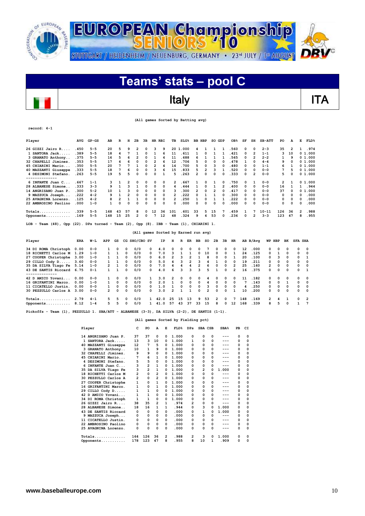



**record: 4-1**

| Player                                                                                                | AVG  | $GP - GS$ | AB  | R  | н  | 2в           | 3B           | HR. | RBI | TВ             | SLG <sup>8</sup> |    | <b>BB HBP</b> | SO | GDP          | OB <sub>8</sub> | SF | SH             | $SB-ATT$ | PO. | A  | Е            | FLD <sup>8</sup> |
|-------------------------------------------------------------------------------------------------------|------|-----------|-----|----|----|--------------|--------------|-----|-----|----------------|------------------|----|---------------|----|--------------|-----------------|----|----------------|----------|-----|----|--------------|------------------|
| 26 GIZZI Jairo R                                                                                      | .450 | $5 - 5$   | 20  | 5  | 9  |              | 0            | 3   | 9   |                | 20 1.000         | 4  |               |    |              | 560             | 0  | 0              | $2 - 3$  | 35  |    |              | .974             |
| 1 SANTORA Jack                                                                                        | .389 | $5 - 5$   | 18  | 4  |    |              | 0            |     | 6   | 11             | .611             |    | 0             |    |              | . 421           | 0  | $\overline{2}$ | $1 - 1$  | 3   | 10 |              | 01.000           |
| 3 GRANATO Anthony                                                                                     | .375 | $5 - 5$   | 16  | 5  | 6  |              | 0            |     | 4   | 11             | . 688            | 6  |               |    |              | . 565           | 0  | 2              | $2 - 2$  |     | 9  |              | 01.000           |
| 32 CHAPELLI Jiminez.                                                                                  | .353 | $5 - 5$   | 17  |    | 6  | <sup>0</sup> | <sup>0</sup> |     | 6   | 12             | .706             | 5  | <sup>0</sup>  | O  |              | .478            |    | <sup>0</sup>   | $4 - 4$  | 9   |    |              | 01.000           |
| 45 CHIARINI Mario                                                                                     | .350 | $5 - 5$   | 20  |    |    |              |              | 2   | 4   | 14             | .700             | 5  |               |    |              | .480            | 0  | 0              | $1 - 1$  | 6   |    |              | 0 1.000          |
| 40 MAZZANTI Giuseppe                                                                                  | .333 | $5 - 5$   | 18  |    | 6  |              | 0            | 3   | 6   | 15             | .833             | 5  |               | ٩  |              | .520            | 0  | 0              | $0 - 0$  | 7   | 5  |              | 01.000           |
| 4 DESIMONI Stefano.                                                                                   | .263 | $5 - 5$   | 19  |    | 5  |              | 0            | ٥   |     | 5              | 263              | 2  | 0             | 0  |              | .333            | 0  | 2              | $0 - 0$  | 5   |    |              | 0 1.000          |
|                                                                                                       |      |           |     |    |    |              |              |     |     |                |                  |    |               |    |              |                 |    |                |          |     |    |              |                  |
| 6 INFANTE Juan C                                                                                      | .667 | $1 - 1$   | 3   |    | 2  | 0            | 0            | 0   | 0   | $\mathbf{2}$   | . 667            |    | 0             |    |              | .750            | 0  |                | $0 - 0$  | 2   |    |              | 0 1.000          |
| 28 ALBANESE Simone                                                                                    | .333 | $3 - 3$   | 9   |    | 3  |              | 0            | 0   | 0   | 4              | 444              |    | 0             |    | 2            | .400            | 0  | 0              | $0 - 0$  | 16  |    |              | .944             |
| 14 ANGRISANO Juan P.                                                                                  | .300 | $5 - 2$   | 10  |    | 3  | 0            | 0            | 0   | 0   | 3              | 300              | 2  | 0             | 2  |              | .417            | 0  | 0              | $0 - 0$  | 37  |    |              | 01.000           |
| 9 MAZZUCA Joseph                                                                                      | .222 | $4 - 2$   | 9   |    | 2  | 0            | 0            | 0   | 0   | $\overline{2}$ | 222              | O. |               |    |              | . 300           | 0  | 0              | $0 - 0$  | 0   |    | <sup>0</sup> | .000             |
| 25 AVAGNINA Lorenzo.                                                                                  | .125 | $4 - 2$   | 8   |    |    |              | ٥            | 0   | 0   | 2              | 250              |    | O             |    |              | 222             | 0  | $\Omega$       | $0 - 0$  | 0   |    | 0            | .000             |
| 22 AMBROSINO Paolino                                                                                  | .000 | $1 - 0$   |     | 0  | 0  |              | 0            | 0   | 0   | n              | 000              | 0  | 0             | 0  |              | .000            | 0  | 0              | $0 - 0$  | 0   | 0  | 0            | .000             |
| $Totals$                                                                                              | .339 | $5 - 5$   | 168 | 43 | 57 | 8            | 0            | 12  | 36  | 101            | . 601            | 33 | 5.            | 15 |              | . 459           |    |                | 10-11    | 126 | 36 | 2            | .988             |
| Opponents                                                                                             | .169 | $5 - 5$   | 148 | 15 | 25 | 2            | 0            |     | 12  | 48             | .324             | ۹  | 4             | 53 | <sup>0</sup> | .236            | 0  | 2              | $3 - 3$  | 123 | 47 | 8            | .955             |
| LOB - Team $(48)$ , Opp $(22)$ . DPs turned - Team $(2)$ , Opp $(8)$ . IBB - Team $(1)$ , CHIARINI 1. |      |           |     |    |    |              |              |     |     |                |                  |    |               |    |              |                 |    |                |          |     |    |              |                  |

 **(All games Sorted by Earned run avg)**

| Player                    | ERA  | W-L     | APP          | GS           |            | CG SHO/CBO SV |              | IP.  | н             | $\mathbf{R}$ | ER       | BB         | so            | 2B             | 3B           | HR            |     | AB B/Ava | WP HBP         |            | вĸ         | <b>SFA SHA</b> |                |
|---------------------------|------|---------|--------------|--------------|------------|---------------|--------------|------|---------------|--------------|----------|------------|---------------|----------------|--------------|---------------|-----|----------|----------------|------------|------------|----------------|----------------|
| 34 DI ROMA Christoph      | 0.00 | $0 - 0$ |              | $\mathbf{o}$ | $^{\circ}$ | 0/0           | 0            | 4.0  | 0             | 0            | 0        | $^{\circ}$ |               | $\Omega$       | $\Omega$     | $\Omega$      | 12  | . 000    | 0              | $^{\circ}$ | $^{\circ}$ | $\mathbf{o}$   | - 0            |
| 18 RICHETTI Carlos M      | 1.29 | $1 - 0$ |              | 1            | $\Omega$   | 0/0           | $^{\circ}$   | 7.0  | ٦             |              |          | 0          | 10            | $\Omega$       | $\Omega$     |               | 24  | .125     | $\Omega$       |            | $\Omega$   | $\Omega$       | $\Omega$       |
| 27 COOPER Christophe      | 3.00 | $1 - 0$ |              |              | 0          | 0/0           | <sup>0</sup> | 6.0  | $\mathcal{P}$ | ٦            | 2        |            | я             | $\Omega$       | $\Omega$     |               | 20  | .100     | <sup>o</sup>   | ٩          | $\Omega$   | $\Omega$       |                |
| 29 CILLO Cody D           | 3.60 | $0 - 0$ |              |              | 0          | 0/0           | $^{\circ}$   | 5.0  | 4             | ٦            | 2        | 3          |               |                | $\Omega$     | 0             | 19  | .211     | 0              | 0          | $^{\circ}$ | $\Omega$       | $\Omega$       |
| 35 DA SILVA Tiago Fe      | 5.14 | $1 - 0$ | $\mathbf{2}$ |              | 0          | 0/0           | 0            | 7.0  | 4             |              | 4        | 2          | 6             | $\Omega$       | $\Omega$     | $\mathbf{2}$  | 25  | .160     | $\mathbf{2}$   | $\Omega$   | $\Omega$   | 0              | $\Omega$       |
| 43 DE SANTIS Riccard      | 6.75 | $0 - 1$ |              |              | 0          | 0/0           | <sup>o</sup> | 4.0  | 6             | ٦            | ٩        | 3          | 5.            |                | <sup>o</sup> | $\mathcal{P}$ | 16  | .375     | 0              | 0          | $\Omega$   | $\Omega$       | -1             |
| . - - - - - - - - - - - - |      |         |              |              |            |               |              |      |               |              |          |            |               |                |              |               |     |          |                |            |            |                |                |
| 42 D AMICO Yovani         | 0.00 | $0 - 0$ |              | $\Omega$     | $^{\circ}$ | 0/0           |              | 3.0  | 2             | 0            | 0        | $\Omega$   |               | 0              | 0            | 0             | 11  | .182     | 0              | 0          | $^{\circ}$ | $\Omega$       | - 0            |
| 16 GRIFANTINI Marco.      | 0.00 | $1 - 0$ |              | $\Omega$     | $\Omega$   | 0/0           | $\Omega$     | 2.0  |               | $\Omega$     | $\Omega$ | $\Omega$   |               | $\Omega$       | $\Omega$     | $^{\circ}$    |     | .143     | <sup>o</sup>   | 0          |            | $\Omega$       | $^{\circ}$     |
| 11 CICATELLO Justin.      | 0.00 | $0 - 0$ |              | $\Omega$     | $\Omega$   | 0/0           | <sup>0</sup> | 1.0  |               | $\Omega$     | $\Omega$ | $\Omega$   | 3             | $\Omega$       | $\Omega$     | $\Omega$      | 4   | 250      | $\Omega$       | $\Omega$   | $\Omega$   | $\Omega$       | $\Omega$       |
| 30 PEZZULLO Carlos A      | 3.00 | $0 - 0$ | $\mathbf{2}$ | $\Omega$     | 0          | 0/0           | <sup>0</sup> | 3.0  | $\mathcal{P}$ |              |          | $\Omega$   | $\mathcal{P}$ | $\Omega$       | $\Omega$     |               | 10  | .200     | 0              | 0          | $\Omega$   | $\Omega$       | $\Omega$       |
| $Totals$                  | 2.79 | $4 - 1$ | 5.           | 5            | $\Omega$   | 0/0           |              | 42.0 | 25            | 15           | 13       | ٩          | 53            | $\overline{2}$ | $\Omega$     |               | 148 | .169     | $\overline{2}$ | 4          |            | $\Omega$       | $\overline{2}$ |
| Opponents                 | 8.12 | $1 - 4$ | 5.           | 5            | 0          | 0/0           |              | 41.0 | 57            | 43           | 37       | 33         | 15            | 8              | 0            | 12            | 168 | .339     | 8              | 5          | $\Omega$   |                |                |

**Pickoffs - Team (1), PEZZULLO 1. SBA/ATT - ALBANESE (3-3), DA SILVA (2-2), DE SANTIS (1-1).** 

 **(All games Sorted by Fielding pct)**

|    | Player               | c   | PO           | A              | Е        | FLD <sup>8</sup> | <b>DPs</b>     | SBA CSB        |   | SBA <sup>8</sup> | PB | CI       |
|----|----------------------|-----|--------------|----------------|----------|------------------|----------------|----------------|---|------------------|----|----------|
|    | 14 ANGRISANO Juan P. | 37  | 37           | 0              | 0        | 1.000            | 0              | 0              | 0 |                  | 0  | 0        |
|    | 1 SANTORA Jack       | 13  | 3            | 10             | $\Omega$ | 1.000            | 1              | 0              | 0 | ---              | 0  | 0        |
|    | 40 MAZZANTI Giuseppe | 12  | 7            | 5              | 0        | 1.000            | 0              | 0              | 0 |                  | 0  | 0        |
|    | 3 GRANATO Anthony    | 10  | 1            | 9              | 0        | 1.000            | 0              | $\Omega$       | 0 |                  | 0  | 0        |
|    | 32 CHAPELLI Jiminez. | 9   | 9            | 0              | 0        | 1.000            | 0              | 0              | 0 |                  | 0  | 0        |
|    | 45 CHIARINI Mario    | 7   | 6            | 1              | 0        | 1.000            | 0              | 0              | 0 |                  | 0  | 0        |
|    | 4 DESIMONI Stefano.  | 5   | 5            | 0              | 0        | 1.000            | 0              | 0              | 0 |                  | 0  | 0        |
| 6  | INFANTE Juan C       | 3   | 2            | 1              | 0        | 1.000            | <sup>0</sup>   | 0              | 0 |                  | 0  | 0        |
|    | 35 DA SILVA Tiago Fe | 3   | 2            | 1              | 0        | 1.000            | 0              | $\overline{2}$ | 0 | 1.000            | 0  | 0        |
|    | 18 RICHETTI Carlos M | 2   | 0            | 2              | 0        | 1.000            | 0              | 0              | 0 | ---              | 0  | 0        |
| 30 | PEZZULLO Carlos A    | 2   | 0            | $\overline{2}$ | 0        | 1.000            | 0              | 0              | 0 |                  | 0  | 0        |
| 27 | COOPER Christophe    | 1   | 0            | 1              | 0        | 1.000            | 0              | $\Omega$       | 0 | ---              | 0  | 0        |
|    | 16 GRIFANTINI Marco. | 1   | 0            | 1              | $\Omega$ | 1.000            | 0              | 0              | 0 | ---              | 0  | 0        |
|    | 29 CILLO Cody D      | 1   | $\mathbf{1}$ | 0              | 0        | 1.000            | 0              | 0              | 0 |                  | 0  | 0        |
|    | 42 D AMICO Yovani    | 1   | 1            | 0              | 0        | 1.000            | 0              | 0              | 0 | ---              | 0  | 0        |
|    | 34 DI ROMA Christoph | 1   | 1            | 0              | 0        | 1.000            | 0              | 0              | 0 |                  | 0  | 0        |
|    | 26 GIZZI Jairo R     | 38  | 35           | 2              | 1        | .974             | $\overline{2}$ | 0              | 0 | ---              | 0  | $\Omega$ |
|    | 28 ALBANESE Simone   | 18  | 16           | 1              | 1        | .944             | 0              | 3              | 0 | 1.000            | 0  | 0        |
|    | 43 DE SANTIS Riccard | 0   | 0            | 0              | 0        | .000             | 0              | 1              | O | 1.000            | 0  | 0        |
|    | 9 MAZZUCA Joseph     | 0   | 0            | 0              | 0        | .000             | 0              | 0              | 0 | ---              | 0  | 0        |
|    | 11 CICATELLO Justin. | 0   | 0            | 0              | 0        | .000             | 0              | $\Omega$       | 0 |                  | 0  | 0        |
|    | 22 AMBROSINO Paolino | 0   | 0            | 0              | 0        | .000             | 0              | 0              | 0 |                  | 0  | 0        |
|    | 25 AVAGNINA Lorenzo. | 0   | 0            | 0              | 0        | .000             | 0              | 0              | 0 | ---              | 0  | 0        |
|    | Totals<br>.          | 164 | 126          | 36             | 2        | .988             | 2              | з              | 0 | 1.000            | 0  | 0        |
|    | Opponents            | 178 | 123          | 47             | 8        | .955             | 8              | 10             | 1 | .909             | 0  | $\Omega$ |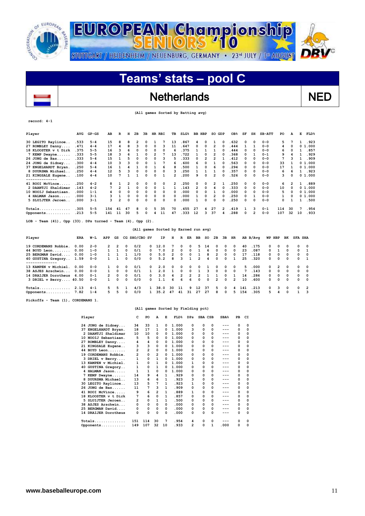

 $\overline{\phantom{a}}$ 

# **Teams' stats – pool C**

## Netherlands NED

 **(All games Sorted by Batting avg)**

#### **record: 4-1**

| Player                                                     | AVG        | $GP-GS$ | AВ           | R              | н            | 2в            | зв          |          | HR RBI                               | TВ                      | $SLG\$ |                         | BB HBP         |                | SO GDP                  |             | OB <sub>8</sub> | SF | SH       | $SB-ATT$ | PO          | А        | Е              | FLD <sup>8</sup> |
|------------------------------------------------------------|------------|---------|--------------|----------------|--------------|---------------|-------------|----------|--------------------------------------|-------------------------|--------|-------------------------|----------------|----------------|-------------------------|-------------|-----------------|----|----------|----------|-------------|----------|----------------|------------------|
| 30 LEGITO Raylinoe                                         | .533       | $5 - 4$ | 15           | 8              | 8            | 2             | 0           | 1        | 7                                    | 13                      | .867   |                         | 4              | 0              | 1                       | $\Omega$    | .632            | 0  | $\Omega$ | $0 - 0$  | 5           | 7        | 1              | .923             |
| 27 ROMBLEY Danny                                           | .471       | $4 - 4$ | 17           | 4              | 8            | 3             | 0           | 0        | 3                                    | 11                      | .647   |                         | 0              | 0              | $\overline{\mathbf{2}}$ | $\Omega$    | .444            | 1  | 1        | $0 - 0$  | 4           | 0        | 0              | 1.000            |
| 18 KLOOSTER v t Dirk                                       | .375       | $5 - 5$ | 16           | 3              | 6            | 0             | 0           | 0        | 0                                    | 6                       | .375   |                         |                | 1              | 1                       | 0           | .444            | 0  | 0        | $0 - 0$  | 6           | 0        | 1              | .857             |
| 7 KEMP Dwayne                                              | .333       | $5 - 5$ | 18           | 3              | 6            | 1             | 0           | 2        | 7                                    | 13                      | .722   |                         |                | $\mathbf 0$    | $\overline{\mathbf{2}}$ | O           | .368            | 0  | 1        | $0 - 1$  | 9           | 4        | 1              | .929             |
| 26 JONG de Bas                                             | . 333      | $5 - 4$ | 15           | $\mathbf{1}$   |              | $\Omega$      | 0           | $\Omega$ | 3                                    | 5                       | .333   |                         | 0              | $\overline{2}$ | $\overline{2}$          |             | .412            | 0  | O        | $0 - 0$  | 7           | 3        | 1              | .909             |
| 24 JONG de Sidney                                          | .300       | $4 - 4$ | 10           | 3              | 3            | $\Omega$      | 0           |          | 7                                    | 6                       | .600   |                         | 6              | $\Omega$       | 1                       | $\Omega$    | .563            | 0  | O        | $0 - 0$  | 33          | 1        |                | 01.000           |
| 37 ENGELHARDT Bryan.                                       | .250       | $5 - 4$ | 16           | 1              | 4            | 1             | 0           | 1        | 6                                    | 8                       | .500   |                         |                | $\Omega$       | 6                       | $\Omega$    | .294            | 0  | O        | $0 - 0$  | 17          | 1        |                | 01.000           |
| 8 DUURSMA Michael                                          | .250       | $4 - 4$ | 12           | 5              |              | $\Omega$      | 0           | $\Omega$ | 0                                    | 3                       | .250   |                         |                | 1              | 1                       | $\Omega$    | .357            | 0  | 0        | $0 - 0$  | 6           | 6        | 1              | .923             |
| 21 KINGSALE Eugene                                         | .100       | $4 - 4$ | 10           | 7              | $\mathbf{1}$ | $\mathbf{1}$  | 0           | 0        | 1                                    | 2                       | .200   |                         | 9              | $\mathbf 0$    | $\overline{2}$          | $\Omega$    | .526            | 0  | $\Omega$ | $0 - 0$  | 3           | 0        |                | 01.000           |
| --------------<br>41 ROOI McVince                          | .250       | $4 - 2$ | 8            | 1              | 2            | 0             | 0           | 0        | 0                                    | 2                       | .250   |                         | 0              | 0              | 2                       | 1           | .250            | 0  | 0        | $0 - 0$  | 6           | 2        | 1              | .889             |
| 2 DAANTJI Shaldimar                                        | . 143      | $4 - 2$ |              | $\overline{a}$ | 1            | 0             | 0           | 0        | 1                                    | 1                       | .143   |                         | 2              | $\mathbf 0$    | 4                       | 0           | .333            | 0  | 0        | $0 - 0$  | 10          | 0        |                | 01.000           |
| 10 NOOIJ Sebastiaan                                        | .000       | $1 - 1$ | 4            | 0              | 0            | 0             | 0           | 0        | 0                                    | $\Omega$                | .000   |                         | 0              | 0              | 1                       | 0           | .000            | 0  | 0        | $0 - 0$  | 5           | 0        |                | 01.000           |
| 4 HALMAN Jason                                             | . 000      | $3 - 1$ | 3            | $\mathbf{1}$   | 0            | 0             | 0           | 0        | 0                                    | 0                       | .000   |                         |                | $\mathbf 0$    | 2                       | $\Omega$    | .250            | 0  | 1        | $0 - 0$  | 1           | 0        |                | 01.000           |
| 5 SLUIJTER Jeroen                                          | .000       | $3 - 1$ | 3            | $\overline{2}$ | 0            | 0             | $\mathbf 0$ | 0        | 0                                    | 0                       | .000   |                         |                | $\Omega$       | $\Omega$                | $\Omega$    | .250            | 0  | 0        | $0 - 0$  | 0           | 1        | 1              | .500             |
| Totals                                                     | .305       | $5 - 5$ | 154          | 41             | 47           | 8             | 0           | 5        | 35                                   | 70                      | .455   |                         | 27             | 4              | 27                      | 2           | .419            | 1  | з        | $0 - 1$  | 114         | 30       | 7              | .954             |
| Opponents                                                  | .213       | $5 - 5$ | 141          | 11             | 30           | 5             | 0           | 4        | 11                                   | 47                      | .333   |                         | 12             | з              | 37                      | 4           | .288            | 0  | 2        | $0 - 0$  | 107         | 32       | 10             | .933             |
| LOB - Team $(41)$ , Opp $(33)$ . DPs turned - Team $(4)$ , |            |         |              |                |              |               | Opp $(2)$ . |          |                                      |                         |        |                         |                |                |                         |             |                 |    |          |          |             |          |                |                  |
|                                                            |            |         |              |                |              |               |             |          | (All games Sorted by Earned run avg) |                         |        |                         |                |                |                         |             |                 |    |          |          |             |          |                |                  |
| Player                                                     | <b>ERA</b> | W-L     | APP          | GS             |              | CG SHO/CBO SV |             |          | ΙP                                   | н                       | R      | ER                      | ВB             | so             | 2в                      | 3B          | HR              |    | AB B/Avq |          | WP HBP      | BK       | <b>SFA SHA</b> |                  |
| 19 CORDEMANS Robbie.                                       | 0.00       | $2 - 0$ | 2            | 2              | 0            | 0/2           |             | 0        | 12.0                                 | 7                       | 0      | 0                       | 5              | 14             | ٥                       | 0           | 0               | 40 | .175     | 0        | 0           | O        | 0              | 0                |
| 44 BOYD Leon                                               | 0.00       | $1 - 0$ | 1            | 1              | 0            | 0/1           |             | 0        | 7.0                                  | 2                       | 0      | 0                       | 1              | 6              | 0                       | 0           | 0               | 23 | .087     | 0        | 1           | 0        | 0              | 1                |
| 25 BERGMAN David                                           | 0.00       | $1 - 0$ | 1            | 1              | $\mathbf{1}$ | 1/0           |             | 0        | 5.0                                  | $\overline{\mathbf{2}}$ | 0      | 0                       | 1              | 8              | 2                       | $\mathbf 0$ | 0               | 17 | .118     | 0        | $\mathbf 0$ | $\Omega$ | 0              | $\mathbf 0$      |
| 40 GUSTINA Gregory                                         | 1.59       | $0 - 0$ | $\mathbf{1}$ | 1              | $\Omega$     | 0/0           |             | 0        | 5.2                                  | 8                       | 3      | $\mathbf{1}$            | $\overline{2}$ | 4              | 0                       | $\Omega$    | $\mathbf{1}$    | 25 | 320      | 0        | $\Omega$    | $\Omega$ | 0              | $\mathbf{1}$     |
| 13 KAMPEN v Michiel.                                       | 0.00       | $0 - 0$ | 1            | 0              | 0            | 0/1           |             | 0        | 2.0                                  | 0                       | 0      | 0                       | 0              | 1              | 0                       | 0           | 0               | 5  | .000     | 0        | 2           | 0        | 0              | 0                |
| 38 ASJES Arschwin                                          | 0.00       | $0 - 0$ | 1            | 0              | 0            | 0/1           |             | 1        | 2.0                                  | 1                       | 0      | 0                       | 1              | 3              | 0                       | 0           | 0               | 7  | .143     | 0        | 0           | 0        | 0              | 0                |
| 14 DRAIJER Dorotheus                                       | 6.00       | $0 - 1$ | 2            | 0              | 0            | 0/1           |             | 0        | 3.0                                  | 4                       | 2      | $\overline{\mathbf{2}}$ | 2              | 1              | 1                       | 0           | 1               | 14 | .286     | 0        | 0           | 0        | 0              | 0                |
| 3 DRIEL v Berry 40.50                                      |            | $0 - 0$ | 1            | 0              | 0            | 0/0           |             | 0        | 1.1                                  | 6                       | 6      | 6                       | $\mathbf 0$    | $\Omega$       | $\overline{2}$          | O           | $\overline{2}$  | 10 | .600     | O        | 0           | O        | 0              | $\Omega$         |

**Pickoffs - Team (1), CORDEMANS 1.** 

#### **(All games Sorted by Fielding pct)**

**Totals.............. 2.13 4-1 5 5 1 4/3 1 38.0 30 11 9 12 37 5 0 4 141 .213 0 3 0 0 2 Opponents........... 7.82 1-4 5 5 0 0/0 1 35.2 47 41 31 27 27 8 0 5 154 .305 5 4 0 1 3**

| Player | c                           | PO  | A              | Е  | FLD <sup>8</sup> | DPs | SBA CSB |   | SBA <sup>8</sup> | PB | CI       |
|--------|-----------------------------|-----|----------------|----|------------------|-----|---------|---|------------------|----|----------|
|        | 24 JONG de Sidney<br>34     | 33  | 1              | 0  | 1.000            | 0   | 0       | 0 | ---              | 0  | $\Omega$ |
| 37     | 18<br>ENGELHARDT Bryan.     | 17  | 1              | 0  | 1.000            | 3   | 0       | 0 |                  | 0  | 0        |
|        | 2 DAANTJI Shaldimar<br>10   | 10  | 0              | 0  | 1.000            | 0   | 0       | 0 |                  | 0  | 0        |
|        | 5<br>10 NOOIJ Sebastiaan.   | 5   | 0              | 0  | 1.000            | 0   | 0       | 0 | ---              | 0  | 0        |
| 27     | ROMBLEY Danny<br>4          | 4   | 0              | 0  | 1.000            | 0   | 0       | 0 |                  | 0  | 0        |
|        | 3<br>21 KINGSALE Eugene     | 3   | 0              | 0  | 1.000            | 0   | 0       | 0 |                  | 0  | 0        |
|        | 44 BOYD Leon<br>2           | 2   | 0              | 0  | 1.000            | 0   | 0       | 0 | ---              | 0  | 0        |
| 19     | CORDEMANS Robbie.<br>2      | 0   | $\overline{2}$ | 0  | 1.000            | 0   | 0       | 0 | ---              | 0  | 0        |
|        | 3 DRIEL v Berry<br>1        | 0   | 1              | 0  | 1.000            | 0   | 0       | 0 | ---              | 0  | 0        |
|        | 1<br>13 KAMPEN v Michiel.   | 0   | 1              | 0  | 1.000            | 1   | 0       | 0 | ---              | 0  | 0        |
| 40     | <b>GUSTINA Gregory</b><br>1 | 0   | 1              | 0  | 1.000            | 0   | 0       | 0 |                  | 0  | 0        |
|        | 4 HALMAN Jason              | 1   | 0              | 0  | 1.000            | 0   | 0       | 0 | ---              | 0  | 0        |
| 7      | 14<br>KEMP Dwayne           | 9   | 4              | 1  | .929             | 0   | 0       | 0 |                  | 0  | 0        |
|        | 8 DUURSMA Michael<br>13     | 6   | 6              | 1  | . 923            | 3   | 0       | 0 |                  | 0  | 0        |
|        | 30 LEGITO Raylinoe<br>13    | 5   | 7              | 1  | .923             | 1   | 0       | 0 | ---              | 0  | 0        |
|        | 26 JONG de Bas<br>11        | 7   | 3              | 1  | .909             | 0   | 0       | 0 | ---              | 0  | $\Omega$ |
|        | 41 ROOI McVince<br>9        | 6   | $\overline{2}$ | 1  | .889             | 1   | 0       | 0 | ---              | 0  | 0        |
|        | 18 KLOOSTER v t Dirk<br>7   | 6   | 0              | 1  | .857             | 0   | 0       | 0 | ---              | 0  | 0        |
| 5.     | SLUIJTER Jeroen<br>2        | 0   | 1              | 1  | .500             | 0   | 0       | 0 | ---              | 0  | 0        |
|        | 38 ASJES Arschwin<br>0      | 0   | 0              | 0  | .000             | 0   | 0       | 0 | ---              | 0  | 0        |
|        | 25 BERGMAN David<br>0       | 0   | 0              | 0  | .000             | 0   | 0       | 0 |                  | 0  | 0        |
|        | 14 DRAIJER Dorotheus<br>0   | 0   | 0              | 0  | .000             | 0   | 0       | 0 |                  | 0  | 0        |
|        | 151<br>$Totals$             | 114 | 30             | 7  | .954             | 4   | 0       | 0 | ---              | 0  | 0        |
|        | 149<br>Opponents            | 107 | 32             | 10 | . 933            | 2   | 0       | 1 | .000             | 0  | $\Omega$ |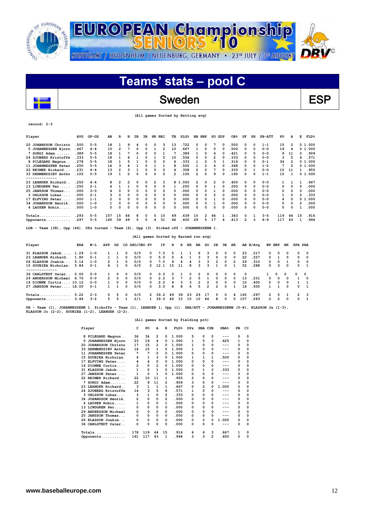

## Sweden ESP

 **(All games Sorted by Batting avg)**

### **record: 2-3**

 $\overline{\phantom{a}}$ 

| Player               | AVG   | $GP-GS$ | AB  | R  | н  | 2B | 3B           | HR RBI   |    | TВ       | SLG <sup>8</sup> | BB. | HBP          | SO GDP |              | OB <sub>8</sub> | SF | SH       | $SB-ATT$ | PO  | А            | Е  | FLD <sup>8</sup> |
|----------------------|-------|---------|-----|----|----|----|--------------|----------|----|----------|------------------|-----|--------------|--------|--------------|-----------------|----|----------|----------|-----|--------------|----|------------------|
| 20 JOHANSSON Christo | .500  | $5 - 5$ | 18  |    |    |    | 0            | $\Omega$ | 3  | 13       | .722             | n   | 0            | 7      | 0            | .500            | 0  | 0        | $1 - 1$  | 15  | 2            |    | 01.000           |
| 5 JOHANNESSEN Bjorn  | .467  | $4 - 4$ | 15  | 2  |    | 0  | 0            |          | 2  | 10       | .667             |     | 0            | 0      | 0            | .500            | 0  | $\Omega$ | $0 - 0$  | 19  |              |    | 01.000           |
| $7$ SORGI Adam       | . 389 | $5 - 5$ | 18  |    |    | O  | <sup>0</sup> | $\Omega$ |    |          | .389             |     | 0            | 6      | 0            | .421            | 0  | $\Omega$ | $0 - 0$  | 9   | 11           | 2  | .909             |
| 24 SJOBERG Kristoffe | .333  | $5 - 5$ | 18  |    |    |    |              |          | 5  | 10       | .556             | ٥   | 0            | 2      |              | . 333           | 0  | $\Omega$ | $0 - 0$  | 3   |              | 6  | .571             |
| 8 PILEGARD Magnus    | .278  | $5 - 5$ | 18  |    |    |    |              | $\Omega$ | O  | 6        | .333             |     | $\Omega$     | ٩      |              | .316            | 0  | $\Omega$ | $0 - 1$  | 34  |              |    | 01.000           |
| 11 JOHANNESSEN Peter | .250  | $5 - 5$ | 16  | ٩  |    |    |              |          |    | 8        | .500             |     | 2            |        |              | .368            | 0  | $\Omega$ | $1 - 2$  | 7   | O            |    | 01.000           |
| 22 REIMER Rickard    | . 231 | $4 - 4$ | 13  | 2  |    |    | 0            | 0        | 0  | 4        | . 308            | 2   | $\Omega$     |        |              | . 333           | 0  |          | $0 - 0$  | 10  | 11           |    | .955             |
| 33 DERMENDZIEV Antho | .105  | $5 - 5$ | 19  |    |    | O  | 0            | 0        | 0  | 2        | .105             | 2   | 0            | 9      | O            | .190            | 0  | 0        | $1 - 1$  | 15  |              |    | 01.000           |
| --------------       |       |         |     |    |    |    |              |          |    |          |                  |     |              |        |              |                 |    |          |          |     |              |    |                  |
| 23 LEANDER Rickard.  | . 250 | $4 - 4$ | 8   | 2  |    | 0  | 0            | 2        | з  |          | 8 1.000          | 2   | 0            | 2      | 0            | .400            | 0  | 0        | $0 - 0$  |     |              |    | . 667            |
| 13 LINDGREN Per      | .250  | $2 - 1$ |     |    |    | 0  | 0            | 0        | 0  |          | .250             | ٥   | 0            |        | 0            | . 250           | 0  | $\Omega$ | $0 - 0$  | 0   |              | 0  | .000             |
| 25 JANSSON Thomas    | . 000 | $3 - 0$ |     | O  | O  | 0  | 0            | $\Omega$ | 0  | 0        | .000             | 0   | 0            |        | <sup>0</sup> | . 000           | 0  | $\Omega$ | $0 - 0$  | 0   | <sup>0</sup> | n  | .000             |
| 3 OHLSSON Lukas      | .000  | $2 - 1$ |     | O  |    | 0  | O            | $\Omega$ | 0  | 0        | .000             | 0   | 0            | 2      |              | .000            | 0  | $\Omega$ | $0 - 0$  |     | O            |    | . 333            |
| 17 ELFVING Peter.    | . 000 | $1 - 1$ |     | O  | O  | 0  | 0            | 0        | 0  | $\Omega$ | .000             | 0   | 0            |        |              | .000            | 0  | 0        | $0 - 0$  | 4   |              |    | 01.000           |
| 34 JOHANSSON Henrik. | . 000 | $1 - 0$ |     | 0  |    | 0  |              | $\Omega$ | 0  | 0        | .000             | ٥   | $\Omega$     |        |              | .000            | 0  | $\Omega$ | $0 - 0$  | 0   |              |    | .000             |
| 4 LAUSEN Robin       | .000  | $1 - 0$ | 0   | 0  |    | 0  | 0            | 0        | 0  | 0        | .000             | ٥   | O            | n      |              | .000            | 0  | $\Omega$ | $0 - 0$  | 0   |              |    | .000             |
| $Totals$             | .293  | $5 - 5$ | 157 | 15 | 46 | 8  | 0            | 5        | 15 | 69       | . 439            | 10  | $\mathbf{2}$ | 46     |              | . 343           | 0  |          | $3 - 5$  | 119 | 44           | 15 | .916             |
| Opponents            | .297  | $5 - 5$ | 165 | 39 | 49 | 5  | 0            | 4        | 31 | 66       | .400             | 29  | 5            | 17     |              | .413            | 2  |          | $6 - 9$  | 117 | 43           |    | .994             |

### **(All games Sorted by Earned run avg)**

| Player                                           | ERA          | W−L                | APP           | GS            |                          | CG SHO/CBO SV |                    | IP         | н             | R       | ER                  | BB                  | so                             | 2B                        | 3B                   | HR.                      |                | AB B/Ava      | WP HBP                   |                        | вĸ                     | <b>SFA SHA</b>       |            |
|--------------------------------------------------|--------------|--------------------|---------------|---------------|--------------------------|---------------|--------------------|------------|---------------|---------|---------------------|---------------------|--------------------------------|---------------------------|----------------------|--------------------------|----------------|---------------|--------------------------|------------------------|------------------------|----------------------|------------|
| 31 KLASSON Jakob<br>23 LEANDER Rickard           | 1.29<br>1.80 | $1 - 0$<br>$0 - 1$ |               |               | $^{\circ}$<br>$^{\circ}$ | 0/0<br>0/0    | 0<br>0             | 7.0<br>5.0 | 5<br>5        |         |                     | 6<br>٩              | 3.<br>٦.                       | $^{\circ}$<br>0           | 0<br>$^{\circ}$      | $^{\circ}$<br>$^{\circ}$ | 23<br>22       | . 217<br>.227 | 0<br>n.                  | $\Omega$               | $^{\circ}$<br>$\Omega$ | $\Omega$<br>$\Omega$ | - 0<br>0   |
| 26 KLASSON Joakim                                | 5.14         | $1 - 0$            | $\mathcal{P}$ |               | $\Omega$                 | 0/0           | 0                  | 7.0        | ۹             |         | 4                   | ٩<br>٩              | 3                              | $\overline{2}$            | 0                    | $\mathcal{P}$            | 29             | . 310         | $^{\circ}$               | $\Omega$<br>٩          | $\Omega$               | $\Omega$             | റ          |
| 15 SOUBIEA Nicholas.                             | 5.84         | $0 - 1$            |               |               | $\Omega$                 | 0/0           |                    | 2 12.1     | 15            | 11      | 8                   |                     | 3                              |                           | <sup>0</sup>         |                          | 52             | .288          | 0                        |                        |                        | $\Omega$             |            |
| 36 CARLSTEDT Oscar<br>29 ANDERSSON Michael       | 0.00<br>6.75 | $0 - 0$<br>$0 - 0$ | $\mathcal{P}$ | 0<br>$\Omega$ | $\Omega$<br>$\Omega$     | 0/0<br>0/0    | $^{\circ}$<br>0    | 0.0<br>2.2 | $\Omega$<br>3 |         | 0<br>$\overline{2}$ | $\mathcal{P}$<br>5. | $\Omega$                       | $\Omega$<br>0             | $\Omega$<br>$\Omega$ | $\Omega$<br>$^{\circ}$   | $\Omega$<br>13 | . 231         | $^{\circ}$               | $^{\circ}$<br>$\Omega$ | - 0<br>$\Omega$        | റ                    | - 0<br>- 0 |
| 16 DIONNE Curtis 10.12<br>27 JANSSON Peter 18.00 |              | $0 - 0$<br>$0 - 1$ |               | $\Omega$      | $\Omega$<br>0            | 0/0<br>0/0    | <sup>o</sup><br>n. | 2.2<br>3.0 | 4<br>я        | 3.<br>8 | २<br>6              | 2<br>5              | $\mathcal{P}$<br>$\mathcal{P}$ | $\Omega$<br>$\mathcal{P}$ | $\Omega$<br>$\Omega$ | $^{\circ}$               | 10<br>16       | .400<br>.500  | $\Omega$<br>$\mathbf{1}$ | $\Omega$               | $\Omega$<br>$\Omega$   | $\Omega$             |            |
| $Totals$                                         | 5.22         | $2 - 3$            | 5.            | 5.            | $^{\circ}$               | 0/0           | $\mathcal{P}$      | 39.2       | 49            | 39      | 23                  | 29                  | 17                             | 5.                        | $\Omega$             |                          | 165            | . 297         | $\mathcal{P}$            | 5.                     |                        | 2                    | ર          |
| Opponents                                        | 3.46         | $3 - 2$            |               |               |                          | 2/1           |                    | 39.0       | 46            | 15      | 15                  | 10                  | 46                             | 8                         | <sup>0</sup>         | 5.                       | 157            | .293          | $\mathcal{P}$            |                        | $\Omega$               | <sup>0</sup>         |            |

**PB - Team (1), JOHANNESSENB 1. Pickoffs - Team (1), LEANDER 1, Opp (1). SBA/ATT - JOHANNESSENB (5-8), KLASSON Ja (1-3), KLASSON Jo (2-2), SOUBIEA (1-2), LEANDER (2-2).** 

#### **(All games Sorted by Fielding pct)**

| Player                         | c              | PO  | A  | Е        | FLD <sup>8</sup> | DPs | SBA CSB |   | SBA <sup>8</sup> | PB       | CI       |
|--------------------------------|----------------|-----|----|----------|------------------|-----|---------|---|------------------|----------|----------|
| 8 PILEGARD Magnus              | 36             | 34  | 2  | $\Omega$ | 1.000            | 5   | 0       | 0 | ---              | 0        | 0        |
| JOHANNESSEN Bjorn<br>5.        | 23             | 19  | 4  | 0        | 1.000            | 1   | 5       | з | .625             | 1        | $\Omega$ |
| JOHANSSON Christo<br>20        | 17             | 15  | 2  | 0        | 1.000            | 1   | O       | 0 | ---              | 0        | 0        |
| DERMENDZIEV Antho<br>33        | 16             | 15  | 1  | n        | 1.000            | 1   | 0       | 0 |                  | 0        | 0        |
| <b>JOHANNESSEN Peter</b><br>11 | 7              | 7   | 0  | 0        | 1.000            | 0   | 0       | 0 | $-- -$           | $\Omega$ | 0        |
| SOUBIEA Nicholas.<br>15        | 4              | 1   | з  | 0        | 1.000            | 1   | 1       | 1 | .500             | 0        | 0        |
| ELFVING Peter<br>17            | 4              | 4   | 0  | 0        | 1.000            | O   | ٥       | 0 | ---              | 0        | 0        |
| 16 DIONNE Curtis               | $\overline{2}$ | 0   | 2  | 0        | 1.000            | 0   | 0       | 0 | $---$            | $\Omega$ | 0        |
| 31 KLASSON Jakob               | 1              | 0   | 1  | 0        | 1.000            | 0   | 1       | 2 | .333             | 0        | 0        |
| JANSSON Peter<br>27            | 1              | 0   | 1  | 0        | 1.000            | 0   | 0       | 0 |                  | 0        | 0        |
| 22 REIMER Rickard              | 22             | 10  | 11 | 1        | .955             | 2   | 0       | 0 |                  | 0        | 0        |
| $SORGI$ $Adam$<br>7            | 22             | 9   | 11 | 2        | .909             | 3   | 0       | 0 | ---              | 0        | 0        |
| LEANDER Rickard<br>23          | з              | 1   | 1  | 1        | . 667            | 0   | 2       | 0 | 1.000            | 0        | 0        |
| 24 SJOBERG Kristoffe           | 14             | 3   | 5  | 6        | .571             | 1   | 0       | 0 | ---              | 0        | 0        |
| OHLSSON Lukas<br>3.            | з              | 1   | 0  | 2        | . 333            | 0   | 0       | 0 |                  | 0        | 0        |
| 34 JOHANSSON Henrik.           | 2              | 0   | 0  | 2        | .000             | 0   | 0       | 0 | ---              | 0        | 0        |
| 4 LAUSEN Robin                 | 1              | 0   | 0  | 1        | .000             | 0   | 0       | 0 |                  | $\Omega$ | 0        |
| 13 LINDGREN Per                | 0              | 0   | 0  | 0        | .000             | 0   | 0       | 0 |                  | 0        | 0        |
| 29 ANDERSSON Michael           | 0              | 0   | 0  | 0        | .000             | 0   | 0       | 0 |                  | 0        | 0        |
| <b>JANSSON Thomas</b><br>25    | 0              | 0   | 0  | 0        | .000             | 0   | 0       | 0 | ---              | 0        | 0        |
| 26 KLASSON Joakim              | 0              | 0   | 0  | 0        | .000             | 0   | 2       | 0 | 1.000            | 0        | 0        |
| 36 CARLSTEDT Oscar             | 0              | 0   | 0  | $\Omega$ | .000             | 0   | 0       | 0 | ---              | 0        | 0        |
| $Totals$                       | 178            | 119 | 44 | 15       | .916             | 6   | 6       | з | .667             | 1        | 0        |
| Opponents                      | 161            | 117 | 43 | 1        | .994             | 3   | 3       | 2 | .600             | 0        | 0        |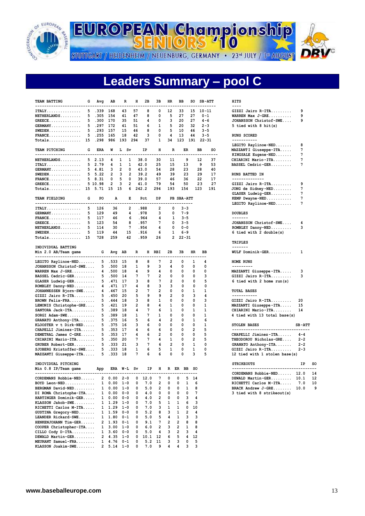

**EUROPEAN Championship** 

STUTTGART / HEIDENHEIM / NEUENBURG, GERMANY · 23<sup>rd</sup> JULY / 1ª AUGUST



# **Leaders Summary – pool C**

| <b>TEAM BATTING</b><br>----------------------- | G | Avg     | AВ             | R                        | н              | 2в                        | 3в                      | HR.                 | ВB          |                | so          | <b>SB-ATT</b> |         | HITS<br>----                  |          |               |
|------------------------------------------------|---|---------|----------------|--------------------------|----------------|---------------------------|-------------------------|---------------------|-------------|----------------|-------------|---------------|---------|-------------------------------|----------|---------------|
| $ITALY \ldots \ldots \ldots$                   | 5 | .339    | 168            | 43                       | 57             | 8                         | 0                       | 12                  | 33          |                | 15          | $10 - 11$     |         | GIZZI Jairo R-ITA             | 9        |               |
| NETHERLANDS                                    | 5 | .305    | 154            | 41                       | 47             | 8                         | 0                       | 5                   | 27          |                | 27          | $0 - 1$       |         | WARREN Max $J-GRE$            | 9        |               |
| $GREECE$                                       | 5 | .300    | 170            | 35                       | 51             | 4                         | 0                       | 3                   | 20          |                | 27          | 4-6           |         | JOHANSSON Christof-SWE        | 9        |               |
| $GERMANY$                                      | 5 | .297    | 172            | 41                       | 51             | 6                         | 1                       | 5                   | 20          |                | 32          | $2 - 3$       |         | 5 tied with 8 hit(s)          |          |               |
| $SWEDEN$                                       | 5 | .293    | 157            | 15                       | 46             | 8                         | 0                       | 5                   | 10          |                | 46          | $3 - 5$       |         |                               |          |               |
| $\texttt{FRANCE} \ldots \ldots \ldots \ldots$  | 5 | .255    | 165            | 18                       | 42             | 3                         | 0                       | 4                   | 13          |                | 44          | $3 - 5$       |         | RUNS SCORED                   |          |               |
| $Totals$ $15$                                  |   | .298    | 986            | 193                      | 294            | 37                        | 1                       | 34                  | 123         |                | 191         | $22 - 31$     |         | -----------                   |          |               |
|                                                |   |         |                |                          |                |                           |                         |                     |             |                |             |               |         | LEGITO Raylinoe-NED           | 8        |               |
| TEAM PITCHING                                  | G | ERA     | W              | L Sv                     |                | ΙP                        | н                       | R                   |             | ER             |             | ВB            | so      | MAZZANTI Giuseppe-ITA         | 7        |               |
| -------------------------                      |   |         |                |                          |                |                           |                         |                     |             |                |             |               | $- - -$ | KINGSALE Eugene-NED           | 7        |               |
| NETHERLANDS                                    |   | 52.13   | 4              | 1<br>1                   |                | 38.0                      | 30                      | 11                  |             | 9              |             | 12            | 37      | CHIARINI Mario-ITA            | 7        |               |
| ITALY.                                         | 5 | 2.79    | 4              | 1<br>1                   |                | 42.0                      | 25                      | 15                  |             | 13             |             | 9             | 53      | BASSEL Cedric-GER             | 7        |               |
| $GERMANY$                                      |   | 54.81   | 3              | 2<br>0                   |                | 43.0                      | 54                      | 28                  |             | 23             |             | 28            | 40      |                               |          |               |
| $SWEDEN$                                       |   | 5, 5.22 | $\overline{2}$ | 3<br>$\overline{2}$      |                | 39.2                      | 49                      | 39                  |             | 23             |             | 29            | 17      | <b>RUNS BATTED IN</b>         |          |               |
| $\texttt{FRANCE} \ldots \ldots \ldots \ldots$  |   | 58.31   | 0              | 5<br>0                   |                | 39.0                      | 57                      | 46                  |             | 36             |             | 22            | 17      | --------------                |          |               |
| $GREECE$                                       |   | 5 10.98 | $\overline{2}$ | $\overline{2}$<br>3      |                | 41.0                      | 79                      | 54                  |             | 50             |             | 23            | 27      | GIZZI Jairo R-ITA             | 9        |               |
| Totals 15 5.71                                 |   |         | 15             | - 15<br>6                |                | 242.2                     | 294                     | 193                 |             | 154            |             | 123           | 191     | JONG de Sidney-NED            | 7        |               |
|                                                |   |         |                |                          |                |                           |                         |                     |             |                |             |               |         | GLASER Ludwig-GER             | 7        |               |
| TEAM FIELDING                                  | G | PO      | А              | Е                        |                | Pct                       | DP                      |                     | PB SBA-ATT  |                |             |               |         | KEMP Dwayne-NED               | 7        |               |
| -------------------------                      |   |         |                |                          |                |                           |                         |                     | ----------- |                |             |               |         | LEGITO Raylinoe-NED           | 7        |               |
| $ITALY$                                        | 5 | 126     | 36             | 2                        |                | .988                      | 2                       | 0                   |             | $3 - 3$        |             |               |         |                               |          |               |
| $GERMANY$                                      | 5 | 129     | 49             | 4                        |                | .978                      | 3                       | 0                   |             | $7 - 9$        |             |               |         | <b>DOUBLES</b>                |          |               |
| $\texttt{FRANCE} \ldots \ldots \ldots \ldots$  | 5 | 117     | 46             | 6                        |                | . 964                     | 4                       | 1                   |             | $3 - 5$        |             |               |         | -------                       |          |               |
| $GREECE$                                       | 5 | 123     | 54             | 8                        |                | .957                      | 7                       | 0                   |             | $3 - 5$        |             |               |         | JOHANSSON Christof-SWE        | 4        |               |
| $NETHERLANDS$                                  | 5 | 114     | 30             | 7                        |                | .954                      | 4                       | 0                   |             | $0 - 0$        |             |               |         | ROMBLEY Danny-NED             | 3        |               |
| $SWEDEN$                                       | 5 | 119     | 44             | 15                       |                | .916                      | 6                       | 1                   |             | $6 - 9$        |             |               |         | 6 tied with 2 double(s)       |          |               |
| $Totals$ $15$                                  |   | 728     | 259            | 42                       |                | .959                      | 26                      | $\overline{2}$      |             | $22 - 31$      |             |               |         |                               |          |               |
|                                                |   |         |                |                          |                |                           |                         |                     |             |                |             |               |         | <b>TRIPLES</b>                |          |               |
| INDIVIDUAL BATTING                             |   |         |                |                          |                |                           |                         |                     |             |                |             |               |         | -------                       |          |               |
| Min 2.0 AB/Team game                           |   | G       | Avg            | AB                       | R              | н                         | RBI                     | 2В                  | 3в          |                | HR          | ВB            |         | $WULF$ Dominik-GER            | 1        |               |
| ----------------------------                   |   |         |                |                          |                |                           |                         |                     |             |                |             |               |         |                               |          |               |
| LEGITO Raylinoe-NED                            |   | 5       | . 533          | 15                       | 8              | 8                         | 7                       | 2                   |             | 0              | 1           | 4             |         | HOME RUNS                     |          |               |
| JOHANSSON Christof-SWE                         |   | 5       | .500           | 18                       | 1              | 9                         | 3                       | 4                   |             | 0              | 0           | 0             |         | ---------                     |          |               |
| WARREN Max $J-GRE$                             |   | 4       | .500           | 18                       | 4              | 9                         | 4                       | 0                   |             | 0              | 0           | 0             |         | MAZZANTI Giuseppe-ITA         | 3        |               |
| BASSEL Cedric-GER                              |   |         | 5.500          | 14                       | 7              | 7                         | $\overline{2}$          | 0                   |             | 0              | 0           | 3             |         | GIZZI Jairo R-ITA             | 3        |               |
| $GLASER$ Ludwig-GER                            |   |         | 5.471          | 17                       | 3              | 8                         | 7                       | 2                   |             | 0              | 0           | 5             |         | 6 tied with 2 home run(s)     |          |               |
| ROMBLEY Danny-NED                              |   |         | 4.471          | 17                       | 4              | 8                         | 3                       | 3                   |             | 0              | 0           | 0             |         |                               |          |               |
| JOHANNESSEN Bjorn-SWE                          |   |         | 4.467          | 15                       | $\overline{2}$ | 7                         | 2                       | 0                   |             | 0              | 1           | 1             |         | <b>TOTAL BASES</b>            |          |               |
| GIZZI Jairo R-ITA                              |   | 5       | .450           | 20                       | 5              | 9                         | 9                       | 2                   |             | 0              | 3           | 4             |         | -----------                   |          |               |
| BROWN Felix-FRA                                |   | 5       | .444           | 18                       | з              | 8                         | 1                       | 0                   |             | 0              | 0           | 3             |         | GIZZI Jairo R-ITA             | 20       |               |
| LEMONIS Christophe-GRE                         |   | 5       | .421           | 19                       | 2              | 8                         | 4                       | 1                   |             | 0              | 0           | 1             |         | MAZZANTI Giuseppe-ITA         | 15       |               |
| SANTORA Jack-ITA                               |   | 5       | .389           | 18                       | 4              | 7                         | 6                       | 1                   |             | 0              | 1           | 1             |         | CHIARINI Mario-ITA            | 14       |               |
| SORGI Adam-SWE                                 |   | 5       | .389           | 18                       | 1              | 7                         | 1                       | 0                   |             | 0              | 0           | 1             |         | 4 tied with 13 total base(s)  |          |               |
| GRANATO Anthony-ITA                            |   | 5       | .375           | 16                       | 5              | 6                         | 4                       | 2                   |             | 0              | 1           | 6             |         |                               |          |               |
| KLOOSTER $v$ t Dirk-NED                        |   | 5       | .375           | 16                       | 3              | 6                         | 0                       | 0                   |             | 0              | 0           | 1             |         | STOLEN BASES                  | $SB-ATT$ |               |
| CHAPELLI Jiminez-ITA                           |   | 5       | .353           | 17                       | 4              | 6                         | 6                       | 0                   |             | 0              | 2           | 5             |         |                               |          |               |
| DEMETRAL James C-GRE                           |   | 5       | . 353          | 17                       | 4              | 6                         | 2                       | O                   |             | 0              | 0           | 5             |         | CHAPELLI Jiminez-ITA          | $4 - 4$  |               |
| CHIARINI Mario-ITA                             |   | 5       | .350           | 20                       | 7              | 7                         | 4                       | 1                   |             | 0              | 2           | 5             |         | THEODOROU Nicholas-GRE        | $2 - 2$  |               |
| GRUBER Robert-GER                              |   | 5       | .333           | 21                       | з              | 7                         | 6                       | $\overline{2}$      |             | 0              | 1           | 0             |         | GRANATO Anthony-ITA           | $2 - 2$  |               |
| SJOBERG Kristoffer-SWE                         |   | 5       | .333           | 18                       | 1              | 6                         | 5                       | 1                   |             | 0              | 1           | 0             |         | GIZZI Jairo R-ITA             | $2 - 3$  |               |
| MAZZANTI Giuseppe-ITA                          |   | 5       | . 333          | 18                       | 7              | 6                         | 6                       | 0                   |             | 0              | 3           | 5             |         | 12 tied with 1 stolen base(s) |          |               |
|                                                |   |         |                |                          |                |                           |                         |                     |             |                |             |               |         |                               |          |               |
| INDIVIDUAL PITCHING                            |   |         |                |                          |                |                           |                         |                     |             |                |             |               |         | <b>STRIKEOUTS</b>             | IP       | <sub>SO</sub> |
| Min 0.8 IP/Team game                           |   | App     |                | ERA W-L Sv               |                | ΙP                        | н                       |                     | R ER BB     |                | so          |               |         |                               |          |               |
|                                                |   |         |                |                          |                |                           |                         |                     |             |                |             |               |         | CORDEMANS Robbie-NED 12.0     |          | 14            |
| CORDEMANS Robbie-NED                           |   |         |                | $20.002 - 0$             |                | 0 12.0                    | 7                       | 0<br>$2 \t 0$       | 0           |                | 5 14        |               |         | DEWALD Martin-GER 10.1        |          | 12            |
| BOYD Leon-NED 1 0.00 1-0                       |   |         |                |                          | $\mathbf{0}$   | 7.0                       |                         | 2 0 0 1             | 0           | $\mathbf{1}$   | 6           |               |         | RICHETTI Carlos M-ITA 7.0     |          | 10            |
| BERGMAN David-NED 1 0.00 1-0                   |   |         |                |                          | $\mathbf{0}$   | 5.0                       |                         |                     |             |                | 8           |               |         | BRACK Andrew J-GRE 10.0       |          | 9             |
| DI ROMA Christophe-ITA 1 0.00 0-0              |   |         |                |                          |                | $0 \quad 4.0$             |                         | $0\quad 0\quad 0$   |             |                | $0 \quad 7$ |               |         | 3 tied with 8 strikeout(s)    |          |               |
| HARTINGER Dominik-GER 1 0.00 0-0               |   |         |                |                          |                | $0 \t 4.0$                |                         | 2 0 0               |             | $3^{\circ}$    | 4           |               |         |                               |          |               |
| KLASSON Jakob-SWE 1 1.29 1-0                   |   |         |                |                          |                | $0 \t 7.0$                |                         | $5 \quad 1 \quad 1$ |             | 6              | 3           |               |         |                               |          |               |
| RICHETTI Carlos M-ITA 1 1.29 1-0               |   |         |                |                          |                | $0 \t 7.0$                |                         | 3 1 1               |             |                | $0\quad 10$ |               |         |                               |          |               |
| GUSTINA Gregory-NED 1 1.59 0-0                 |   |         |                |                          |                | 0 5.2                     |                         | 8 3 1               |             | $\overline{2}$ | 4           |               |         |                               |          |               |
| LEANDER Rickard-SWE 1 1.80 0-1                 |   |         |                |                          |                | 0 5.0                     |                         | 5 4 1               |             | 3              | 3           |               |         |                               |          |               |
| HENKENJOHANN Tim-GER 2 1.93 0-1                |   |         |                |                          |                | $0 \t 9.1$                |                         | 7 2 2               |             | 8              | 8           |               |         |                               |          |               |
| COOPER Christopher-ITA 1 3.00 1-0              |   |         |                |                          |                | $0 \t6.0 \t2 \t3 \t2 \t1$ |                         |                     |             |                | 8           |               |         |                               |          |               |
| CILLO Cody $D-TTA$ 1 3.60 0-0                  |   |         |                |                          | $\mathbf{0}$   | 5.0                       | $\overline{\mathbf{4}}$ | $3\quad 2$          |             | 3              | 4           |               |         |                               |          |               |
| DEWALD Martin-GER 2 4.35 1-0                   |   |         |                |                          |                | $0$ 10.1 12               |                         | 6 5                 |             |                | 4 12        |               |         |                               |          |               |
| MEURANT Samuel-FRA                             |   |         |                | $1 \quad 4.76 \quad 0-1$ | 0              |                           | 5.2 11                  | $3^{\circ}$         | $3^{\circ}$ | $\mathbf 0$    | 5           |               |         |                               |          |               |
| KLASSON Joakim-SWE 2 5.14 1-0 0 7.0 9 4 4 3 3  |   |         |                |                          |                |                           |                         |                     |             |                |             |               |         |                               |          |               |

| GIZZI Jairo R-ITA       | ٩ |
|-------------------------|---|
| <b>VARREN Max J-GRE</b> | ۹ |
| JOHANSSON Christof-SWE  | ۹ |
| 5 tied with 8 hit(s)    |   |

### **RUNS SCORED**

| LEGITO Raylinoe-NED   | я |
|-----------------------|---|
| MAZZANTI Giuseppe-ITA | 7 |
| KINGSALE Eugene-NED   | 7 |
| CHIARINI Mario-ITA    | 7 |
| BASSEL Cedric-GER     | 7 |
|                       |   |
| RINS RATTED IN        |   |

| g |
|---|
| 7 |
| 7 |
| 7 |
| 7 |
|   |

| JOHANSSON Christof-SWE  | 4 |
|-------------------------|---|
| ROMBLEY Danny-NED       | 3 |
| 6 tied with 2 double(s) |   |

| WULF Dominik-GER |  |  |  |  |  |
|------------------|--|--|--|--|--|

| MAZZANTI Giuseppe-ITA     | 3 |
|---------------------------|---|
| GIZZI Jairo R-ITA         | 3 |
| 6 tied with 2 home run(s) |   |

### **JOHANNESSEN Bjorn-SWE..... 4 .467 15 2 7 2 0 0 1 1 TOTAL BASES**

| $GIZZI$ Jairo $R-ITA$        | 20 |
|------------------------------|----|
| MAZZANTI Giuseppe-ITA        | 15 |
| CHIARINI Mario-ITA           | 14 |
| 4 tied with 13 total base(s) |    |

| <b>STOLEN BASES</b>                                                                                                                 | $SB-ATT$                                 |                    |
|-------------------------------------------------------------------------------------------------------------------------------------|------------------------------------------|--------------------|
| $CHAPTERLLI$ Jiminez-ITA<br>THEODOROU Nicholas-GRE<br>GRANATO Anthony-ITA<br>$GIZZI$ Jairo $R-ITA$<br>12 tied with 1 stolen base(s) | $4 - 4$<br>$2 - 2$<br>$2 - 2$<br>$2 - 3$ |                    |
| <b>STRIKEOUTS</b>                                                                                                                   | TP                                       | S.                 |
| $CORDEMANS$ Robbie-NED<br>$DEWALD Martin-GER$                                                                                       | 12.0<br>10.1                             | 1.<br>$\mathbf{1}$ |

| DEWALD Martin-GER 10.1 12  |     |
|----------------------------|-----|
| RICHETTI Carlos M-ITA 7.0  | 10  |
| BRACK Andrew J-GRE 10.0    | - 9 |
| 3 tied with 8 strikeout(s) |     |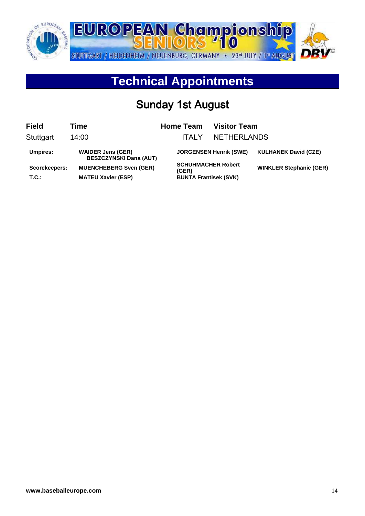

# **Technical Appointments**

# Sunday 1st August

| <b>Field</b>           | Time                                                       | <b>Home Team</b>                                                   | <b>Visitor Team</b>           |                                |
|------------------------|------------------------------------------------------------|--------------------------------------------------------------------|-------------------------------|--------------------------------|
| Stuttgart              | 14:00                                                      | ITAI Y                                                             | <b>NETHERLANDS</b>            |                                |
| Umpires:               | <b>WAIDER Jens (GER)</b><br><b>BESZCZYNSKI Dana (AUT)</b>  |                                                                    | <b>JORGENSEN Henrik (SWE)</b> | <b>KULHANEK David (CZE)</b>    |
| Scorekeepers:<br>T.C.: | <b>MUENCHEBERG Sven (GER)</b><br><b>MATEU Xavier (ESP)</b> | <b>SCHUHMACHER Robert</b><br>(GER)<br><b>BUNTA Frantisek (SVK)</b> |                               | <b>WINKLER Stephanie (GER)</b> |